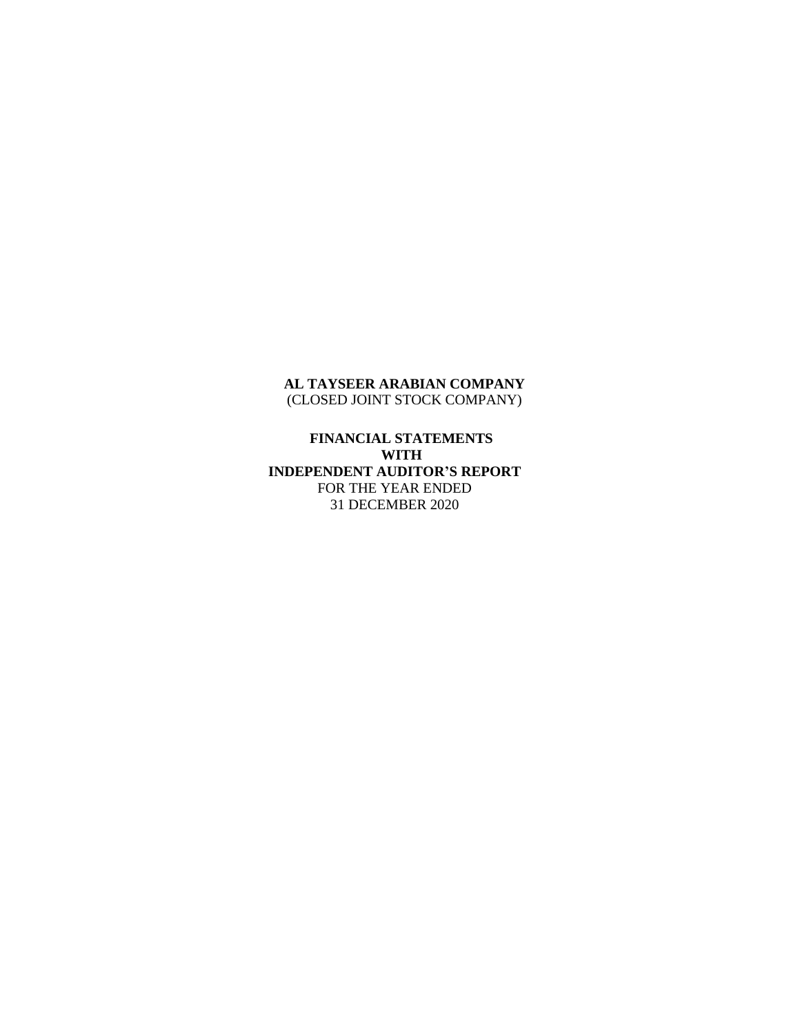## **AL TAYSEER ARABIAN COMPANY** (CLOSED JOINT STOCK COMPANY)

**FINANCIAL STATEMENTS WITH INDEPENDENT AUDITOR'S REPORT** FOR THE YEAR ENDED 31 DECEMBER 2020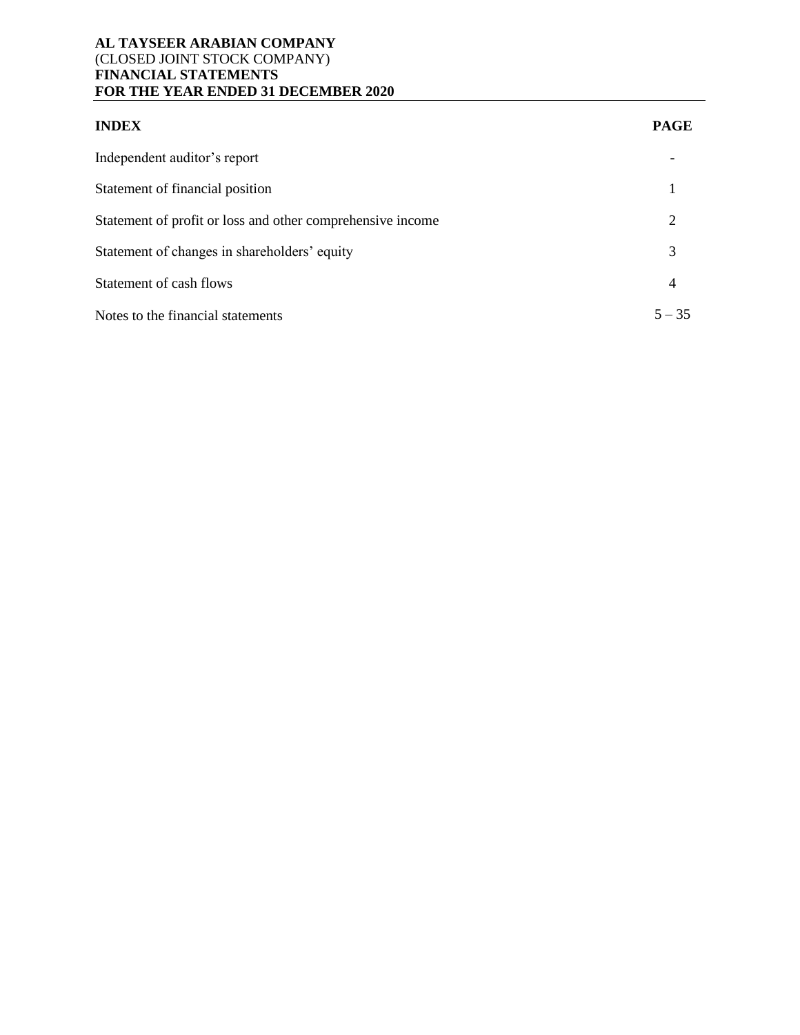## **AL TAYSEER ARABIAN COMPANY** (CLOSED JOINT STOCK COMPANY) **FINANCIAL STATEMENTS FOR THE YEAR ENDED 31 DECEMBER 2020**

| <b>INDEX</b>                                               | <b>PAGE</b> |
|------------------------------------------------------------|-------------|
| Independent auditor's report                               |             |
| Statement of financial position                            |             |
| Statement of profit or loss and other comprehensive income | 2           |
| Statement of changes in shareholders' equity               | 3           |
| Statement of cash flows                                    | 4           |
| Notes to the financial statements                          | $5 - 35$    |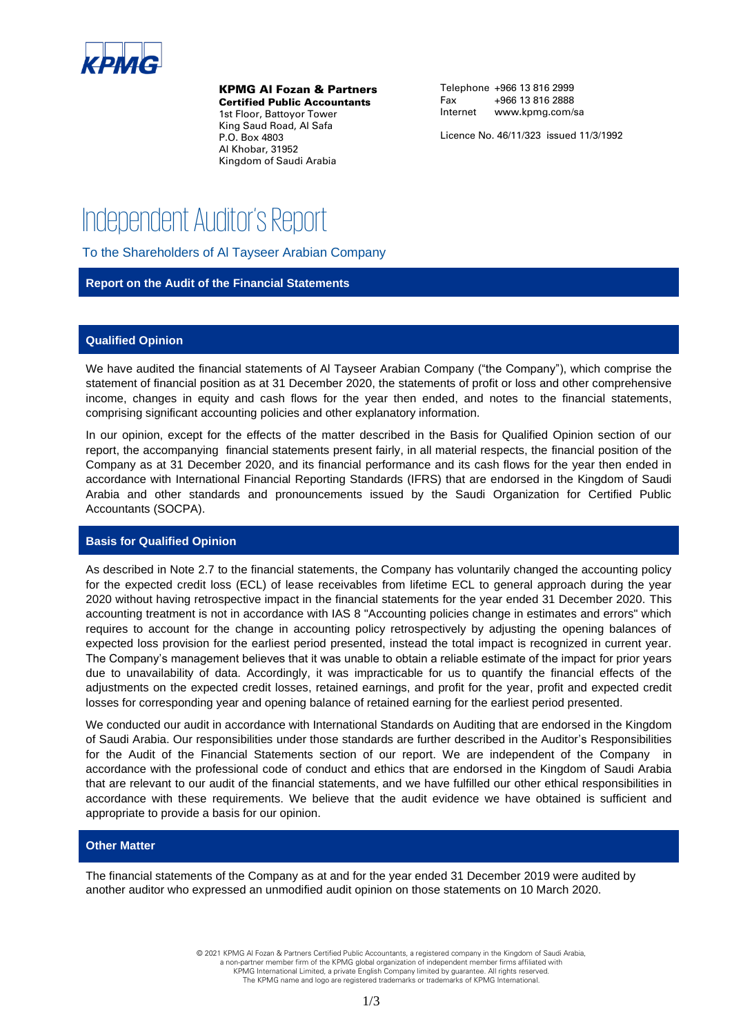

KPMG Al Fozan & Partners

Certified Public Accountants 1st Floor, Battoyor Tower King Saud Road, Al Safa P.O. Box 4803 Al Khobar, 31952 Kingdom of Saudi Arabia

Telephone +966 13 816 2999 Fax +966 13 816 2888 Internet www.kpmg.com/sa

Licence No. 46/11/323 issued 11/3/1992

## **Independent Auditor's Report**

To the Shareholders of Al Tayseer Arabian Company

#### **Report on the Audit of the Financial Statements**

#### **Qualified Opinion**

We have audited the financial statements of Al Tayseer Arabian Company ("the Company"), which comprise the statement of financial position as at 31 December 2020, the statements of profit or loss and other comprehensive income, changes in equity and cash flows for the year then ended, and notes to the financial statements, comprising significant accounting policies and other explanatory information.

In our opinion, except for the effects of the matter described in the Basis for Qualified Opinion section of our report, the accompanying financial statements present fairly, in all material respects, the financial position of the Company as at 31 December 2020, and its financial performance and its cash flows for the year then ended in accordance with International Financial Reporting Standards (IFRS) that are endorsed in the Kingdom of Saudi Arabia and other standards and pronouncements issued by the Saudi Organization for Certified Public Accountants (SOCPA).

#### **Basis for Qualified Opinion**

As described in Note 2.7 to the financial statements, the Company has voluntarily changed the accounting policy for the expected credit loss (ECL) of lease receivables from lifetime ECL to general approach during the year 2020 without having retrospective impact in the financial statements for the year ended 31 December 2020. This accounting treatment is not in accordance with IAS 8 "Accounting policies change in estimates and errors" which requires to account for the change in accounting policy retrospectively by adjusting the opening balances of expected loss provision for the earliest period presented, instead the total impact is recognized in current year. The Company's management believes that it was unable to obtain a reliable estimate of the impact for prior years due to unavailability of data. Accordingly, it was impracticable for us to quantify the financial effects of the adjustments on the expected credit losses, retained earnings, and profit for the year, profit and expected credit losses for corresponding year and opening balance of retained earning for the earliest period presented.

We conducted our audit in accordance with International Standards on Auditing that are endorsed in the Kingdom of Saudi Arabia. Our responsibilities under those standards are further described in the Auditor's Responsibilities for the Audit of the Financial Statements section of our report. We are independent of the Company in accordance with the professional code of conduct and ethics that are endorsed in the Kingdom of Saudi Arabia that are relevant to our audit of the financial statements, and we have fulfilled our other ethical responsibilities in accordance with these requirements. We believe that the audit evidence we have obtained is sufficient and appropriate to provide a basis for our opinion.

#### **Other Matter**

The financial statements of the Company as at and for the year ended 31 December 2019 were audited by another auditor who expressed an unmodified audit opinion on those statements on 10 March 2020.

> © 2021 KPMG Al Fozan & Partners Certified Public Accountants, a registered company in the Kingdom of Saudi Arabia, a non-partner member firm of the KPMG global organization of independent member firms affiliated with KPMG International Limited, a private English Company limited by guarantee. All rights reserved.

The KPMG name and logo are registered trademarks or trademarks of KPMG International.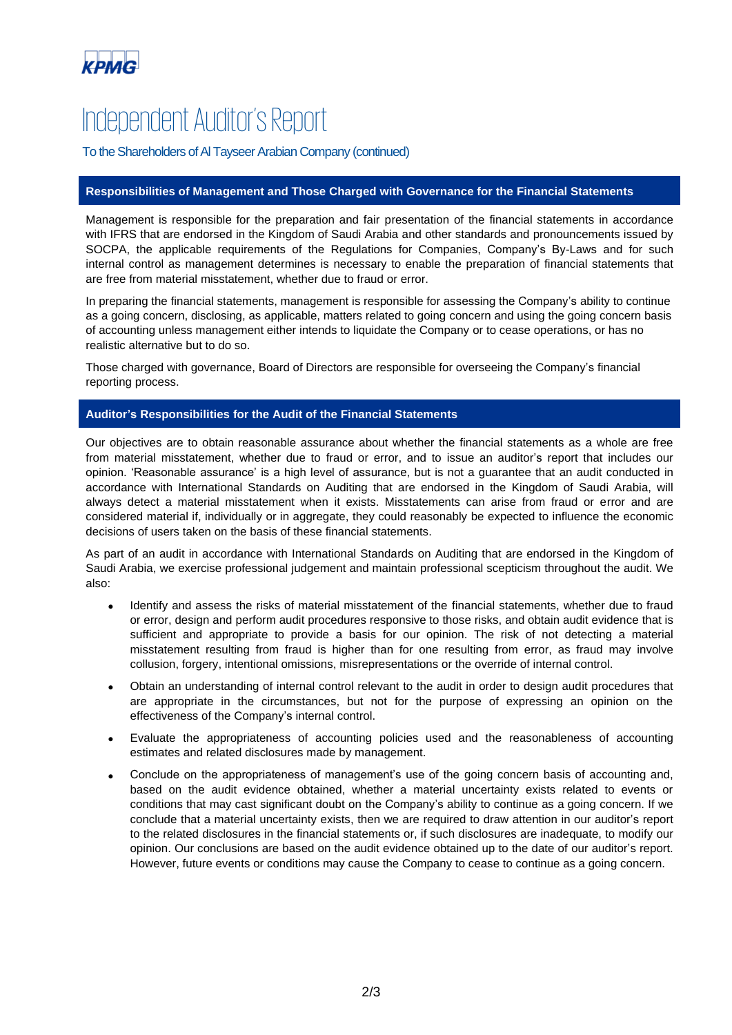

# **Independent Auditor's Report**

To the Shareholders of Al Tayseer Arabian Company (continued)

#### **Responsibilities of Management and Those Charged with Governance for the Financial Statements**

Management is responsible for the preparation and fair presentation of the financial statements in accordance with IFRS that are endorsed in the Kingdom of Saudi Arabia and other standards and pronouncements issued by SOCPA, the applicable requirements of the Regulations for Companies, Company's By-Laws and for such internal control as management determines is necessary to enable the preparation of financial statements that are free from material misstatement, whether due to fraud or error.

In preparing the financial statements, management is responsible for assessing the Company's ability to continue as a going concern, disclosing, as applicable, matters related to going concern and using the going concern basis of accounting unless management either intends to liquidate the Company or to cease operations, or has no realistic alternative but to do so.

Those charged with governance, Board of Directors are responsible for overseeing the Company's financial reporting process.

#### **Auditor's Responsibilities for the Audit of the Financial Statements**

Our objectives are to obtain reasonable assurance about whether the financial statements as a whole are free from material misstatement, whether due to fraud or error, and to issue an auditor's report that includes our opinion. 'Reasonable assurance' is a high level of assurance, but is not a guarantee that an audit conducted in accordance with International Standards on Auditing that are endorsed in the Kingdom of Saudi Arabia, will always detect a material misstatement when it exists. Misstatements can arise from fraud or error and are considered material if, individually or in aggregate, they could reasonably be expected to influence the economic decisions of users taken on the basis of these financial statements.

As part of an audit in accordance with International Standards on Auditing that are endorsed in the Kingdom of Saudi Arabia, we exercise professional judgement and maintain professional scepticism throughout the audit. We also:

- Identify and assess the risks of material misstatement of the financial statements, whether due to fraud or error, design and perform audit procedures responsive to those risks, and obtain audit evidence that is sufficient and appropriate to provide a basis for our opinion. The risk of not detecting a material misstatement resulting from fraud is higher than for one resulting from error, as fraud may involve collusion, forgery, intentional omissions, misrepresentations or the override of internal control.
- Obtain an understanding of internal control relevant to the audit in order to design audit procedures that are appropriate in the circumstances, but not for the purpose of expressing an opinion on the effectiveness of the Company's internal control.
- Evaluate the appropriateness of accounting policies used and the reasonableness of accounting estimates and related disclosures made by management.
- Conclude on the appropriateness of management's use of the going concern basis of accounting and, based on the audit evidence obtained, whether a material uncertainty exists related to events or conditions that may cast significant doubt on the Company's ability to continue as a going concern. If we conclude that a material uncertainty exists, then we are required to draw attention in our auditor's report to the related disclosures in the financial statements or, if such disclosures are inadequate, to modify our opinion. Our conclusions are based on the audit evidence obtained up to the date of our auditor's report. However, future events or conditions may cause the Company to cease to continue as a going concern.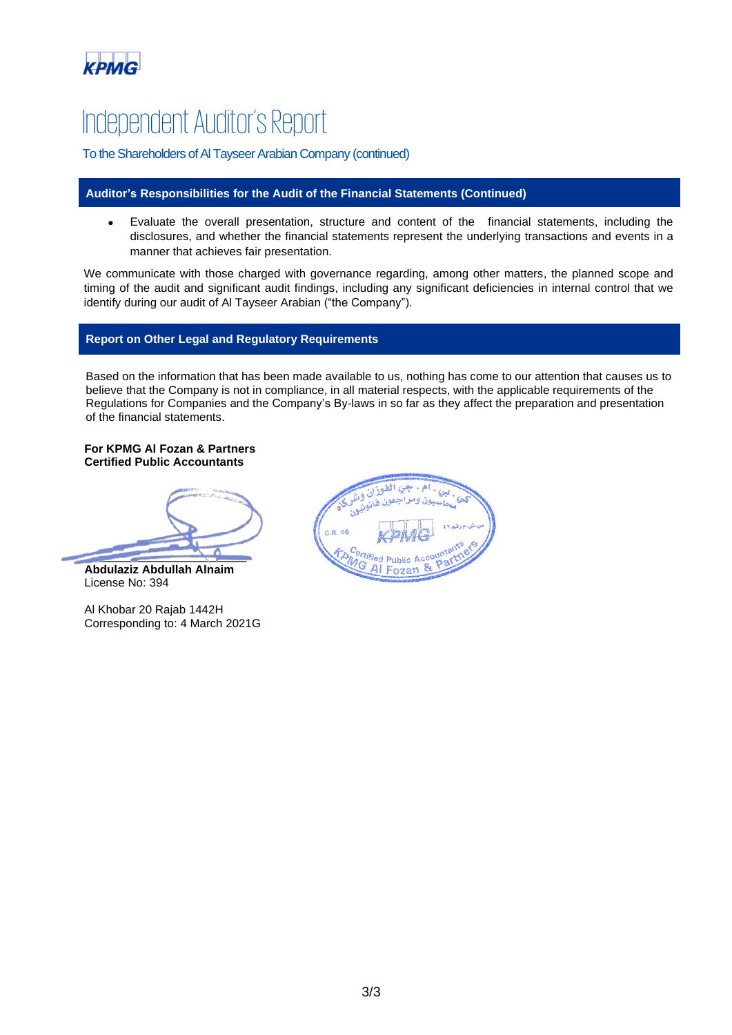

## **Independent Auditor's Report**

To the Shareholders of Al Tayseer Arabian Company (continued)

#### **Auditor's Responsibilities for the Audit of the Financial Statements (Continued)**

• Evaluate the overall presentation, structure and content of the financial statements, including the disclosures, and whether the financial statements represent the underlying transactions and events in a manner that achieves fair presentation.

We communicate with those charged with governance regarding, among other matters, the planned scope and timing of the audit and significant audit findings, including any significant deficiencies in internal control that we identify during our audit of Al Tayseer Arabian ("the Company").

#### **Report on Other Legal and Regulatory Requirements**

Based on the information that has been made available to us, nothing has come to our attention that causes us to believe that the Company is not in compliance, in all material respects, with the applicable requirements of the Regulations for Companies and the Company's By-laws in so far as they affect the preparation and presentation of the financial statements.

**For KPMG Al Fozan & Partners Certified Public Accountants** 

 $\frac{1}{2}$ 

**Abdulaziz Abdullah Alnaim** License No: 394

Al Khobar 20 Rajab 1442H Corresponding to: 4 March 2021G

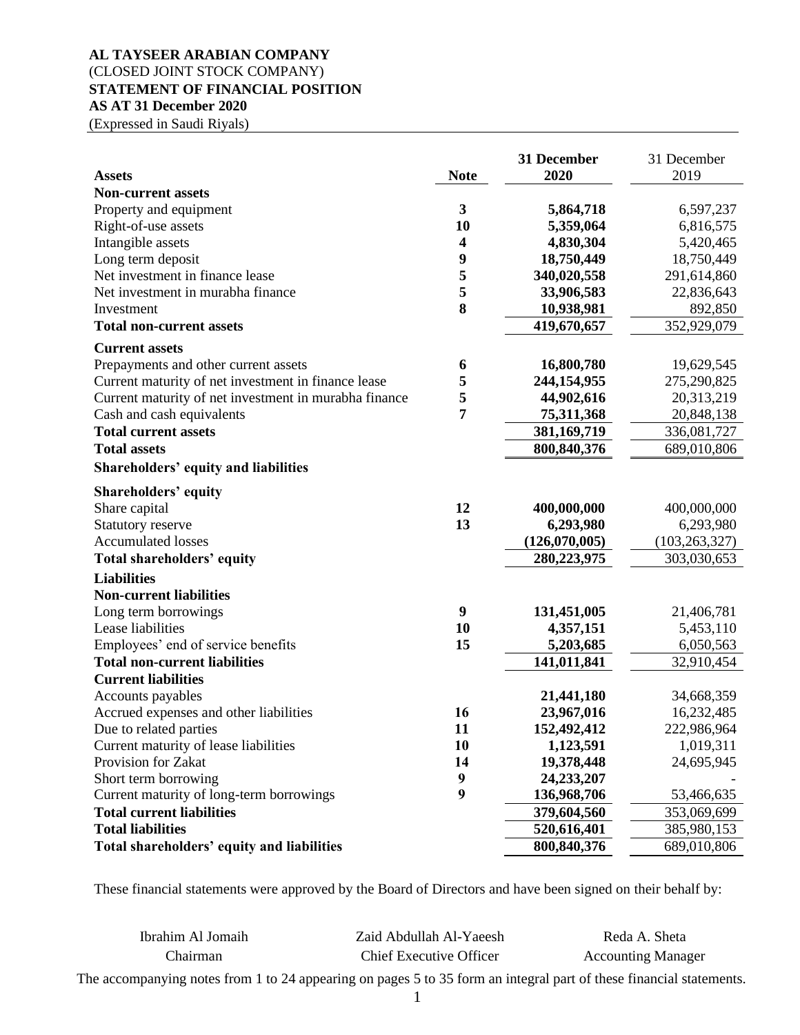## **AL TAYSEER ARABIAN COMPANY** (CLOSED JOINT STOCK COMPANY) **STATEMENT OF FINANCIAL POSITION AS AT 31 December 2020**

(Expressed in Saudi Riyals)

|                                                       |                  | 31 December   | 31 December     |
|-------------------------------------------------------|------------------|---------------|-----------------|
| <b>Assets</b>                                         | <b>Note</b>      | 2020          | 2019            |
| <b>Non-current assets</b>                             |                  |               |                 |
| Property and equipment                                | 3                | 5,864,718     | 6,597,237       |
| Right-of-use assets                                   | 10               | 5,359,064     | 6,816,575       |
| Intangible assets                                     | 4                | 4,830,304     | 5,420,465       |
| Long term deposit                                     | 9                | 18,750,449    | 18,750,449      |
| Net investment in finance lease                       | 5                | 340,020,558   | 291,614,860     |
| Net investment in murabha finance                     | 5                | 33,906,583    | 22,836,643      |
| Investment                                            | 8                | 10,938,981    | 892,850         |
| <b>Total non-current assets</b>                       |                  | 419,670,657   | 352,929,079     |
| <b>Current assets</b>                                 |                  |               |                 |
| Prepayments and other current assets                  | 6                | 16,800,780    | 19,629,545      |
| Current maturity of net investment in finance lease   | 5                | 244,154,955   | 275,290,825     |
| Current maturity of net investment in murabha finance | 5                | 44,902,616    | 20,313,219      |
| Cash and cash equivalents                             | 7                | 75,311,368    | 20,848,138      |
| <b>Total current assets</b>                           |                  | 381,169,719   | 336,081,727     |
| <b>Total assets</b>                                   |                  | 800, 840, 376 | 689,010,806     |
| <b>Shareholders' equity and liabilities</b>           |                  |               |                 |
| <b>Shareholders' equity</b>                           |                  |               |                 |
| Share capital                                         | 12               | 400,000,000   | 400,000,000     |
| Statutory reserve                                     | 13               | 6,293,980     | 6,293,980       |
| <b>Accumulated losses</b>                             |                  | (126,070,005) | (103, 263, 327) |
| Total shareholders' equity                            |                  | 280,223,975   | 303,030,653     |
| <b>Liabilities</b>                                    |                  |               |                 |
| <b>Non-current liabilities</b>                        |                  |               |                 |
| Long term borrowings                                  | 9                | 131,451,005   | 21,406,781      |
| Lease liabilities                                     | 10               | 4,357,151     | 5,453,110       |
| Employees' end of service benefits                    | 15               | 5,203,685     | 6,050,563       |
| <b>Total non-current liabilities</b>                  |                  | 141,011,841   |                 |
| <b>Current liabilities</b>                            |                  |               | 32,910,454      |
| Accounts payables                                     |                  | 21,441,180    | 34,668,359      |
| Accrued expenses and other liabilities                | 16               | 23,967,016    | 16,232,485      |
| Due to related parties                                | 11               | 152,492,412   | 222,986,964     |
| Current maturity of lease liabilities                 | 10               | 1,123,591     | 1,019,311       |
| Provision for Zakat                                   | 14               | 19,378,448    | 24,695,945      |
| Short term borrowing                                  | $\boldsymbol{9}$ | 24,233,207    |                 |
| Current maturity of long-term borrowings              | 9                | 136,968,706   | 53,466,635      |
| <b>Total current liabilities</b>                      |                  | 379,604,560   |                 |
| <b>Total liabilities</b>                              |                  |               | 353,069,699     |
|                                                       |                  | 520,616,401   | 385,980,153     |
| Total shareholders' equity and liabilities            |                  | 800, 840, 376 | 689,010,806     |

These financial statements were approved by the Board of Directors and have been signed on their behalf by:

| Ibrahim Al Jomaih                                                                                                   | Zaid Abdullah Al-Yaeesh | Reda A. Sheta             |
|---------------------------------------------------------------------------------------------------------------------|-------------------------|---------------------------|
| Chairman                                                                                                            | Chief Executive Officer | <b>Accounting Manager</b> |
| The accompanying notes from 1 to 24 appearing on pages 5 to 35 form an integral part of these financial statements. |                         |                           |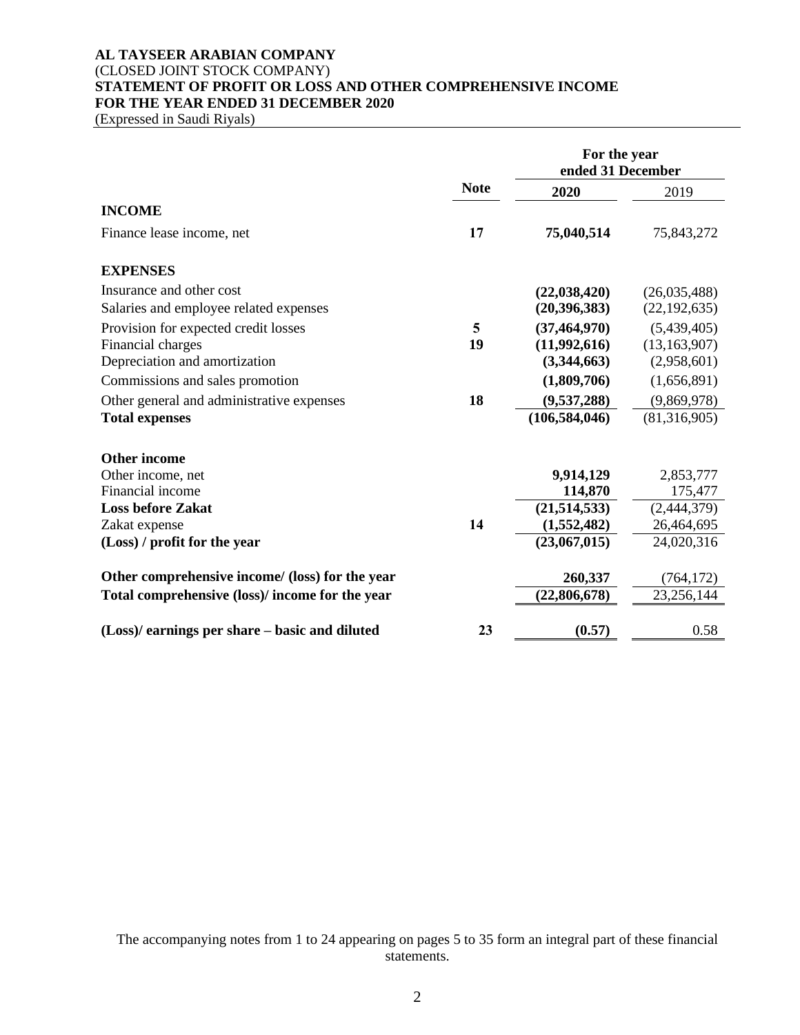## **AL TAYSEER ARABIAN COMPANY** (CLOSED JOINT STOCK COMPANY) **STATEMENT OF PROFIT OR LOSS AND OTHER COMPREHENSIVE INCOME FOR THE YEAR ENDED 31 DECEMBER 2020**

(Expressed in Saudi Riyals)

|                                                 |             | For the year<br>ended 31 December |                |  |
|-------------------------------------------------|-------------|-----------------------------------|----------------|--|
|                                                 | <b>Note</b> | 2020                              | 2019           |  |
| <b>INCOME</b>                                   |             |                                   |                |  |
| Finance lease income, net                       | 17          | 75,040,514                        | 75,843,272     |  |
| <b>EXPENSES</b>                                 |             |                                   |                |  |
| Insurance and other cost                        |             | (22, 038, 420)                    | (26,035,488)   |  |
| Salaries and employee related expenses          |             | (20, 396, 383)                    | (22, 192, 635) |  |
| Provision for expected credit losses            | 5           | (37, 464, 970)                    | (5,439,405)    |  |
| Financial charges                               | 19          | (11,992,616)                      | (13, 163, 907) |  |
| Depreciation and amortization                   |             | (3,344,663)                       | (2,958,601)    |  |
| Commissions and sales promotion                 |             | (1,809,706)                       | (1,656,891)    |  |
| Other general and administrative expenses       | 18          | (9,537,288)                       | (9,869,978)    |  |
| <b>Total expenses</b>                           |             | (106, 584, 046)                   | (81,316,905)   |  |
| <b>Other income</b>                             |             |                                   |                |  |
| Other income, net                               |             | 9,914,129                         | 2,853,777      |  |
| Financial income                                |             | 114,870                           | 175,477        |  |
| <b>Loss before Zakat</b>                        |             | (21,514,533)                      | (2,444,379)    |  |
| Zakat expense                                   | 14          | (1,552,482)                       | 26,464,695     |  |
| (Loss) / profit for the year                    |             | (23,067,015)                      | 24,020,316     |  |
| Other comprehensive income/ (loss) for the year |             | 260,337                           | (764, 172)     |  |
| Total comprehensive (loss)/ income for the year |             | (22,806,678)                      | 23,256,144     |  |
| (Loss)/ earnings per share – basic and diluted  | 23          | (0.57)                            | 0.58           |  |

The accompanying notes from 1 to 24 appearing on pages 5 to 35 form an integral part of these financial statements.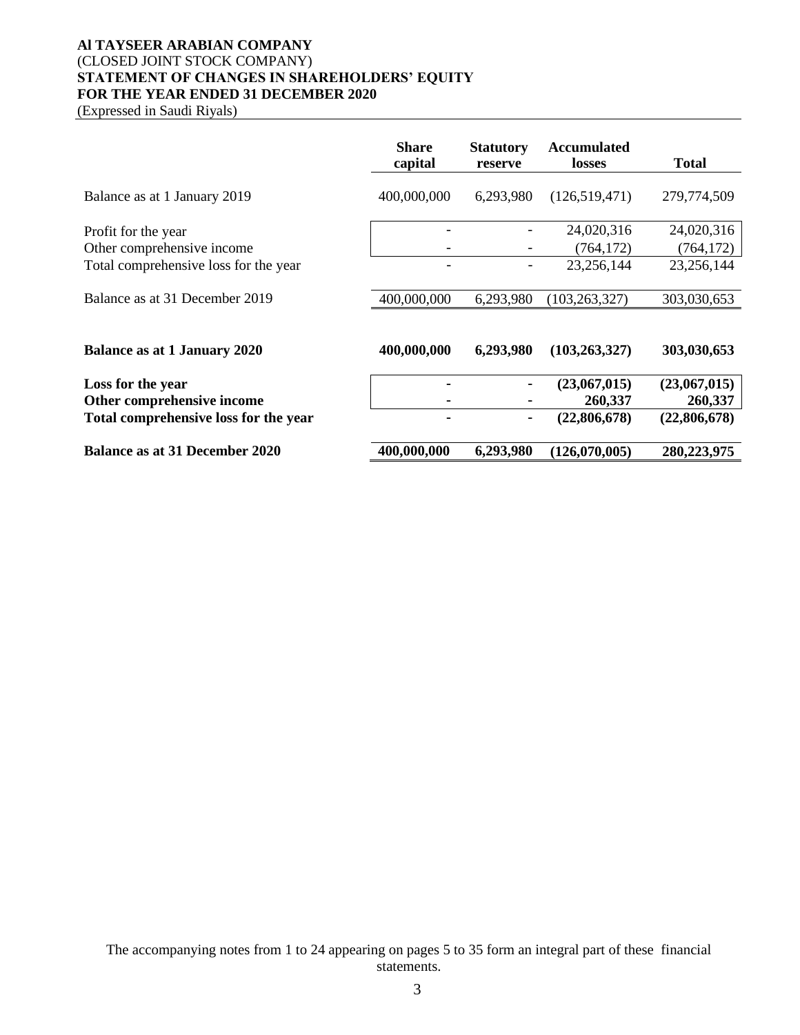## **Al TAYSEER ARABIAN COMPANY** (CLOSED JOINT STOCK COMPANY) **STATEMENT OF CHANGES IN SHAREHOLDERS' EQUITY FOR THE YEAR ENDED 31 DECEMBER 2020**

(Expressed in Saudi Riyals)

|                                                   | <b>Share</b><br>capital | <b>Statutory</b><br>reserve | <b>Accumulated</b><br>losses | Total                    |
|---------------------------------------------------|-------------------------|-----------------------------|------------------------------|--------------------------|
| Balance as at 1 January 2019                      | 400,000,000             | 6,293,980                   | (126,519,471)                | 279,774,509              |
| Profit for the year<br>Other comprehensive income |                         |                             | 24,020,316<br>(764, 172)     | 24,020,316<br>(764, 172) |
| Total comprehensive loss for the year             |                         |                             | 23,256,144                   | 23,256,144               |
| Balance as at 31 December 2019                    | 400,000,000             | 6,293,980                   | (103, 263, 327)              | 303,030,653              |
| <b>Balance as at 1 January 2020</b>               | 400,000,000             | 6,293,980                   | (103, 263, 327)              | 303,030,653              |
| Loss for the year<br>Other comprehensive income   |                         |                             | (23,067,015)<br>260,337      | (23,067,015)<br>260,337  |
| Total comprehensive loss for the year             |                         | ۰                           | (22,806,678)                 | (22,806,678)             |
| Balance as at 31 December 2020                    | 400,000,000             | 6,293,980                   | (126,070,005)                | 280,223,975              |

The accompanying notes from 1 to 24 appearing on pages 5 to 35 form an integral part of these financial statements.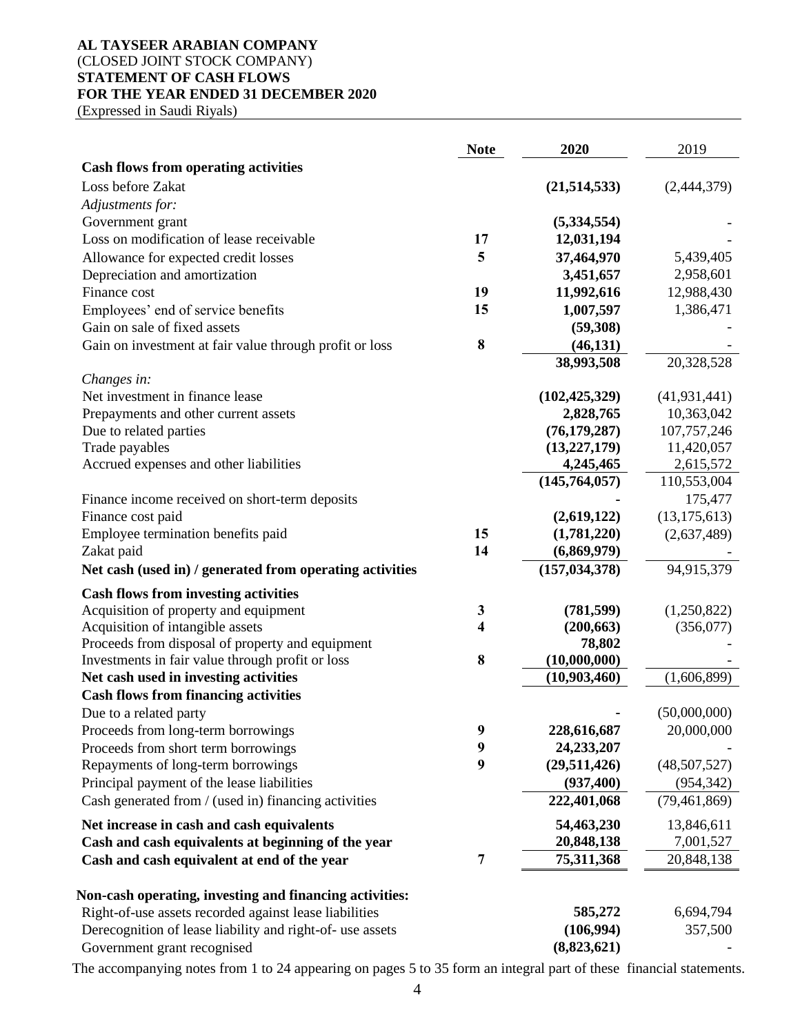## **AL TAYSEER ARABIAN COMPANY** (CLOSED JOINT STOCK COMPANY) **STATEMENT OF CASH FLOWS FOR THE YEAR ENDED 31 DECEMBER 2020**

(Expressed in Saudi Riyals)

|                                                                                      | <b>Note</b>      | 2020                         | 2019           |
|--------------------------------------------------------------------------------------|------------------|------------------------------|----------------|
| <b>Cash flows from operating activities</b>                                          |                  |                              |                |
| Loss before Zakat                                                                    |                  | (21,514,533)                 | (2,444,379)    |
| Adjustments for:                                                                     |                  |                              |                |
| Government grant                                                                     |                  | (5,334,554)                  |                |
| Loss on modification of lease receivable                                             | 17               | 12,031,194                   |                |
| Allowance for expected credit losses                                                 | 5                | 37,464,970                   | 5,439,405      |
| Depreciation and amortization                                                        |                  | 3,451,657                    | 2,958,601      |
| Finance cost                                                                         | 19               | 11,992,616                   | 12,988,430     |
| Employees' end of service benefits                                                   | 15               | 1,007,597                    | 1,386,471      |
| Gain on sale of fixed assets                                                         |                  | (59,308)                     |                |
| Gain on investment at fair value through profit or loss                              | $\bf{8}$         | (46, 131)                    |                |
| Changes in:                                                                          |                  | 38,993,508                   | 20,328,528     |
| Net investment in finance lease                                                      |                  | (102, 425, 329)              | (41, 931, 441) |
| Prepayments and other current assets                                                 |                  | 2,828,765                    | 10,363,042     |
| Due to related parties                                                               |                  | (76, 179, 287)               | 107,757,246    |
| Trade payables                                                                       |                  | (13, 227, 179)               | 11,420,057     |
| Accrued expenses and other liabilities                                               |                  | 4,245,465                    | 2,615,572      |
|                                                                                      |                  | (145,764,057)                | 110,553,004    |
| Finance income received on short-term deposits                                       |                  |                              | 175,477        |
| Finance cost paid                                                                    |                  | (2,619,122)                  | (13, 175, 613) |
| Employee termination benefits paid                                                   | 15               | (1,781,220)                  | (2,637,489)    |
| Zakat paid                                                                           | 14               | (6,869,979)                  |                |
| Net cash (used in) / generated from operating activities                             |                  | (157, 034, 378)              | 94,915,379     |
| <b>Cash flows from investing activities</b>                                          |                  |                              |                |
| Acquisition of property and equipment                                                | 3                | (781, 599)                   | (1,250,822)    |
| Acquisition of intangible assets                                                     | 4                | (200, 663)                   | (356,077)      |
| Proceeds from disposal of property and equipment                                     |                  | 78,802                       |                |
| Investments in fair value through profit or loss                                     | 8                | (10,000,000)<br>(10,903,460) | (1,606,899)    |
| Net cash used in investing activities<br><b>Cash flows from financing activities</b> |                  |                              |                |
| Due to a related party                                                               |                  |                              | (50,000,000)   |
| Proceeds from long-term borrowings                                                   | $\boldsymbol{9}$ | 228,616,687                  | 20,000,000     |
| Proceeds from short term borrowings                                                  | $\boldsymbol{9}$ | 24,233,207                   |                |
| Repayments of long-term borrowings                                                   | 9                | (29,511,426)                 | (48,507,527)   |
| Principal payment of the lease liabilities                                           |                  | (937, 400)                   | (954, 342)     |
| Cash generated from / (used in) financing activities                                 |                  | 222,401,068                  | (79, 461, 869) |
| Net increase in cash and cash equivalents                                            |                  | 54,463,230                   | 13,846,611     |
| Cash and cash equivalents at beginning of the year                                   |                  | 20,848,138                   | 7,001,527      |
| Cash and cash equivalent at end of the year                                          | 7                | 75,311,368                   | 20,848,138     |
|                                                                                      |                  |                              |                |
| Non-cash operating, investing and financing activities:                              |                  |                              |                |
| Right-of-use assets recorded against lease liabilities                               |                  | 585,272                      | 6,694,794      |
| Derecognition of lease liability and right-of- use assets                            |                  | (106,994)                    | 357,500        |
| Government grant recognised                                                          |                  | (8,823,621)                  |                |

The accompanying notes from 1 to 24 appearing on pages 5 to 35 form an integral part of these financial statements.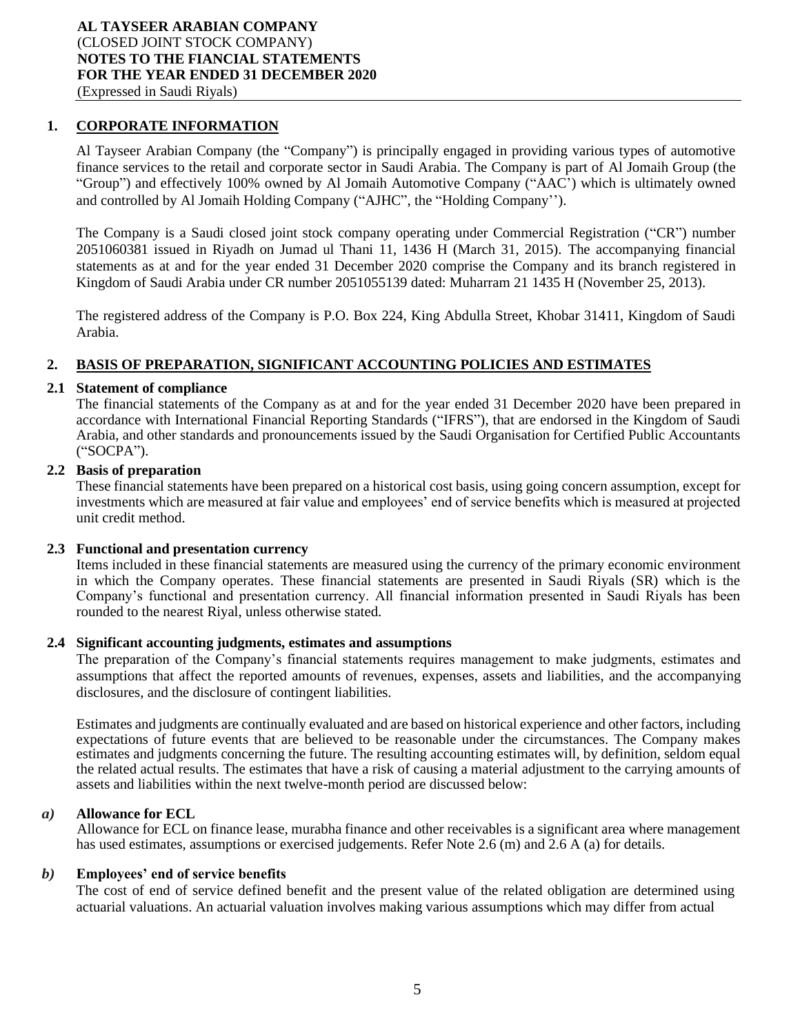## **1. CORPORATE INFORMATION**

Al Tayseer Arabian Company (the "Company") is principally engaged in providing various types of automotive finance services to the retail and corporate sector in Saudi Arabia. The Company is part of Al Jomaih Group (the "Group") and effectively 100% owned by Al Jomaih Automotive Company ("AAC') which is ultimately owned and controlled by Al Jomaih Holding Company ("AJHC", the "Holding Company'').

The Company is a Saudi closed joint stock company operating under Commercial Registration ("CR") number 2051060381 issued in Riyadh on Jumad ul Thani 11, 1436 H (March 31, 2015). The accompanying financial statements as at and for the year ended 31 December 2020 comprise the Company and its branch registered in Kingdom of Saudi Arabia under CR number 2051055139 dated: Muharram 21 1435 H (November 25, 2013).

The registered address of the Company is P.O. Box 224, King Abdulla Street, Khobar 31411, Kingdom of Saudi Arabia.

## **2. BASIS OF PREPARATION, SIGNIFICANT ACCOUNTING POLICIES AND ESTIMATES**

#### **2.1 Statement of compliance**

The financial statements of the Company as at and for the year ended 31 December 2020 have been prepared in accordance with International Financial Reporting Standards ("IFRS"), that are endorsed in the Kingdom of Saudi Arabia, and other standards and pronouncements issued by the Saudi Organisation for Certified Public Accountants ("SOCPA").

## **2.2 Basis of preparation**

These financial statements have been prepared on a historical cost basis, using going concern assumption, except for investments which are measured at fair value and employees' end of service benefits which is measured at projected unit credit method.

#### **2.3 Functional and presentation currency**

Items included in these financial statements are measured using the currency of the primary economic environment in which the Company operates. These financial statements are presented in Saudi Riyals (SR) which is the Company's functional and presentation currency. All financial information presented in Saudi Riyals has been rounded to the nearest Riyal, unless otherwise stated.

#### **2.4 Significant accounting judgments, estimates and assumptions**

The preparation of the Company's financial statements requires management to make judgments, estimates and assumptions that affect the reported amounts of revenues, expenses, assets and liabilities, and the accompanying disclosures, and the disclosure of contingent liabilities.

Estimates and judgments are continually evaluated and are based on historical experience and other factors, including expectations of future events that are believed to be reasonable under the circumstances. The Company makes estimates and judgments concerning the future. The resulting accounting estimates will, by definition, seldom equal the related actual results. The estimates that have a risk of causing a material adjustment to the carrying amounts of assets and liabilities within the next twelve-month period are discussed below:

## *a)* **Allowance for ECL**

Allowance for ECL on finance lease, murabha finance and other receivables is a significant area where management has used estimates, assumptions or exercised judgements. Refer Note 2.6 (m) and 2.6 A (a) for details.

#### *b)* **Employees' end of service benefits**

The cost of end of service defined benefit and the present value of the related obligation are determined using actuarial valuations. An actuarial valuation involves making various assumptions which may differ from actual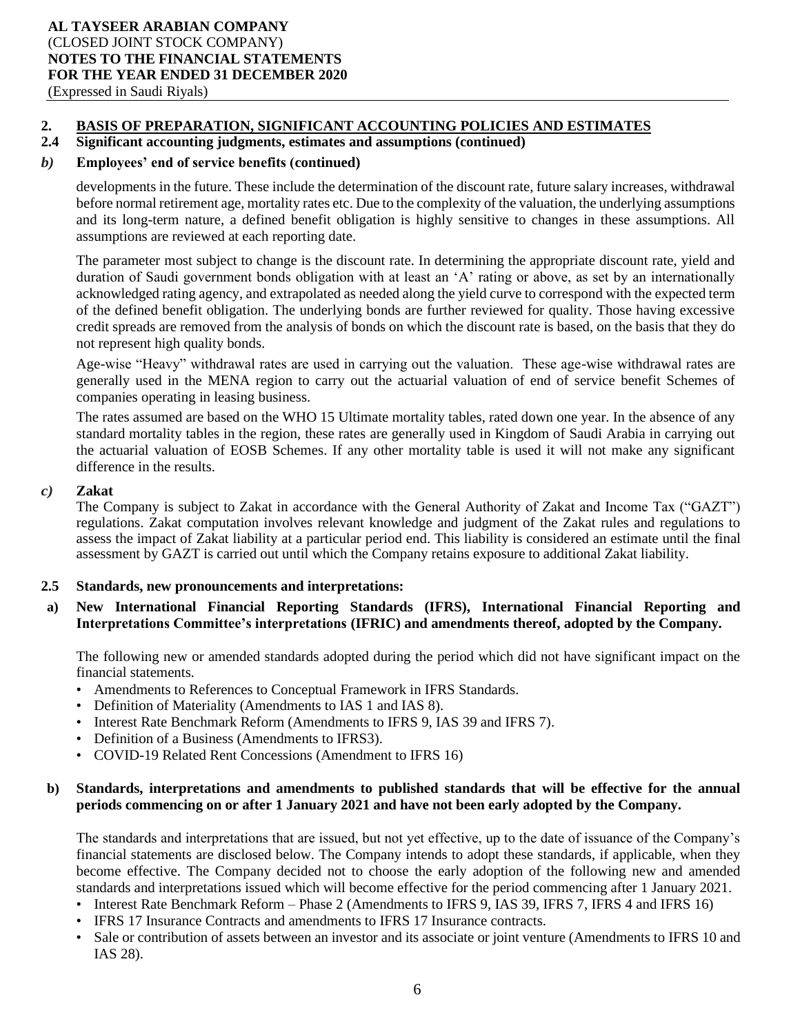## **2. BASIS OF PREPARATION, SIGNIFICANT ACCOUNTING POLICIES AND ESTIMATES**

## **2.4 Significant accounting judgments, estimates and assumptions (continued)**

## *b)* **Employees' end of service benefits (continued)**

developments in the future. These include the determination of the discount rate, future salary increases, withdrawal before normal retirement age, mortality rates etc. Due to the complexity of the valuation, the underlying assumptions and its long-term nature, a defined benefit obligation is highly sensitive to changes in these assumptions. All assumptions are reviewed at each reporting date.

The parameter most subject to change is the discount rate. In determining the appropriate discount rate, yield and duration of Saudi government bonds obligation with at least an 'A' rating or above, as set by an internationally acknowledged rating agency, and extrapolated as needed along the yield curve to correspond with the expected term of the defined benefit obligation. The underlying bonds are further reviewed for quality. Those having excessive credit spreads are removed from the analysis of bonds on which the discount rate is based, on the basis that they do not represent high quality bonds.

Age-wise "Heavy" withdrawal rates are used in carrying out the valuation. These age-wise withdrawal rates are generally used in the MENA region to carry out the actuarial valuation of end of service benefit Schemes of companies operating in leasing business.

The rates assumed are based on the WHO 15 Ultimate mortality tables, rated down one year. In the absence of any standard mortality tables in the region, these rates are generally used in Kingdom of Saudi Arabia in carrying out the actuarial valuation of EOSB Schemes. If any other mortality table is used it will not make any significant difference in the results.

#### *c)* **Zakat**

The Company is subject to Zakat in accordance with the General Authority of Zakat and Income Tax ("GAZT") regulations. Zakat computation involves relevant knowledge and judgment of the Zakat rules and regulations to assess the impact of Zakat liability at a particular period end. This liability is considered an estimate until the final assessment by GAZT is carried out until which the Company retains exposure to additional Zakat liability.

## **2.5 Standards, new pronouncements and interpretations:**

**a) New International Financial Reporting Standards (IFRS), International Financial Reporting and Interpretations Committee's interpretations (IFRIC) and amendments thereof, adopted by the Company.**

The following new or amended standards adopted during the period which did not have significant impact on the financial statements.

- Amendments to References to Conceptual Framework in IFRS Standards.
- Definition of Materiality (Amendments to IAS 1 and IAS 8).
- Interest Rate Benchmark Reform (Amendments to IFRS 9, IAS 39 and IFRS 7).
- Definition of a Business (Amendments to IFRS3).
- COVID-19 Related Rent Concessions (Amendment to IFRS 16)

## **b) Standards, interpretations and amendments to published standards that will be effective for the annual periods commencing on or after 1 January 2021 and have not been early adopted by the Company.**

The standards and interpretations that are issued, but not yet effective, up to the date of issuance of the Company's financial statements are disclosed below. The Company intends to adopt these standards, if applicable, when they become effective. The Company decided not to choose the early adoption of the following new and amended standards and interpretations issued which will become effective for the period commencing after 1 January 2021.

- Interest Rate Benchmark Reform Phase 2 (Amendments to IFRS 9, IAS 39, IFRS 7, IFRS 4 and IFRS 16)
- IFRS 17 Insurance Contracts and amendments to IFRS 17 Insurance contracts.
- Sale or contribution of assets between an investor and its associate or joint venture (Amendments to IFRS 10 and IAS 28).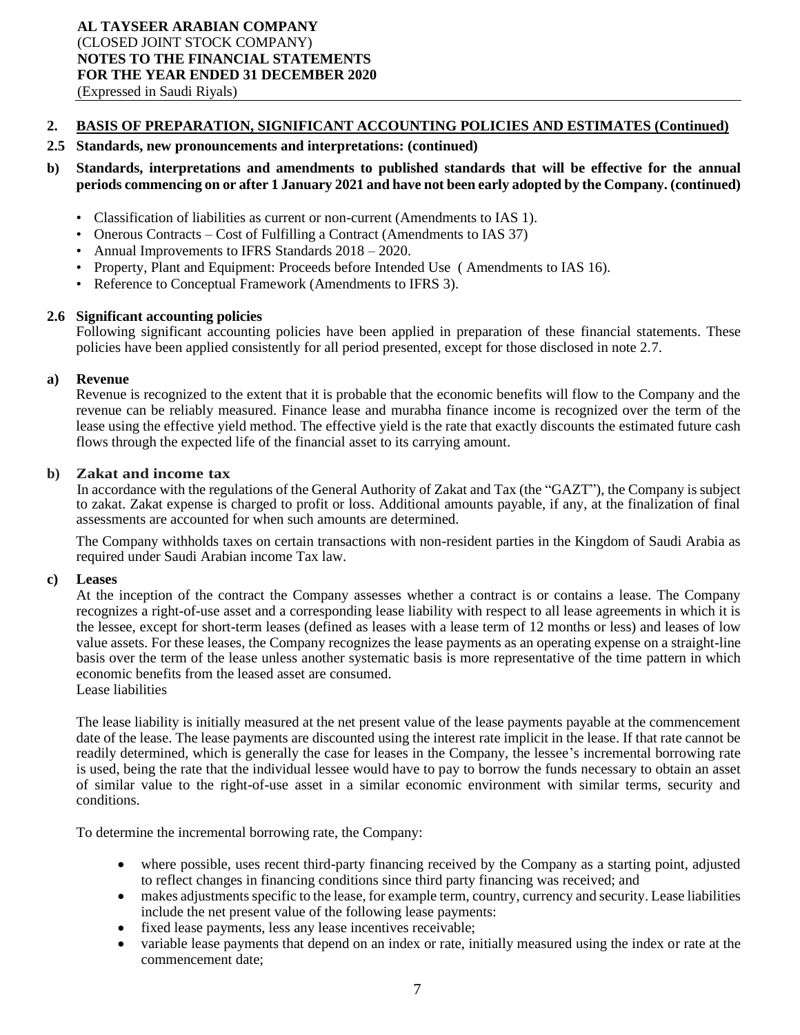#### **2.5 Standards, new pronouncements and interpretations: (continued)**

## **b) Standards, interpretations and amendments to published standards that will be effective for the annual periods commencing on or after 1 January 2021 and have not been early adopted by the Company. (continued)**

- Classification of liabilities as current or non-current (Amendments to IAS 1).
- Onerous Contracts Cost of Fulfilling a Contract (Amendments to IAS 37)
- Annual Improvements to IFRS Standards  $2018 2020$ .
- Property, Plant and Equipment: Proceeds before Intended Use ( Amendments to IAS 16).
- Reference to Conceptual Framework (Amendments to IFRS 3).

#### **2.6 Significant accounting policies**

Following significant accounting policies have been applied in preparation of these financial statements. These policies have been applied consistently for all period presented, except for those disclosed in note 2.7.

#### **a) Revenue**

Revenue is recognized to the extent that it is probable that the economic benefits will flow to the Company and the revenue can be reliably measured. Finance lease and murabha finance income is recognized over the term of the lease using the effective yield method. The effective yield is the rate that exactly discounts the estimated future cash flows through the expected life of the financial asset to its carrying amount.

#### **b) Zakat and income tax**

In accordance with the regulations of the General Authority of Zakat and Tax (the "GAZT"), the Company is subject to zakat. Zakat expense is charged to profit or loss. Additional amounts payable, if any, at the finalization of final assessments are accounted for when such amounts are determined.

The Company withholds taxes on certain transactions with non-resident parties in the Kingdom of Saudi Arabia as required under Saudi Arabian income Tax law.

#### **c) Leases**

At the inception of the contract the Company assesses whether a contract is or contains a lease. The Company recognizes a right-of-use asset and a corresponding lease liability with respect to all lease agreements in which it is the lessee, except for short-term leases (defined as leases with a lease term of 12 months or less) and leases of low value assets. For these leases, the Company recognizes the lease payments as an operating expense on a straight-line basis over the term of the lease unless another systematic basis is more representative of the time pattern in which economic benefits from the leased asset are consumed.

Lease liabilities

The lease liability is initially measured at the net present value of the lease payments payable at the commencement date of the lease. The lease payments are discounted using the interest rate implicit in the lease. If that rate cannot be readily determined, which is generally the case for leases in the Company, the lessee's incremental borrowing rate is used, being the rate that the individual lessee would have to pay to borrow the funds necessary to obtain an asset of similar value to the right-of-use asset in a similar economic environment with similar terms, security and conditions.

To determine the incremental borrowing rate, the Company:

- where possible, uses recent third-party financing received by the Company as a starting point, adjusted to reflect changes in financing conditions since third party financing was received; and
- makes adjustments specific to the lease, for example term, country, currency and security. Lease liabilities include the net present value of the following lease payments:
- fixed lease payments, less any lease incentives receivable;
- variable lease payments that depend on an index or rate, initially measured using the index or rate at the commencement date;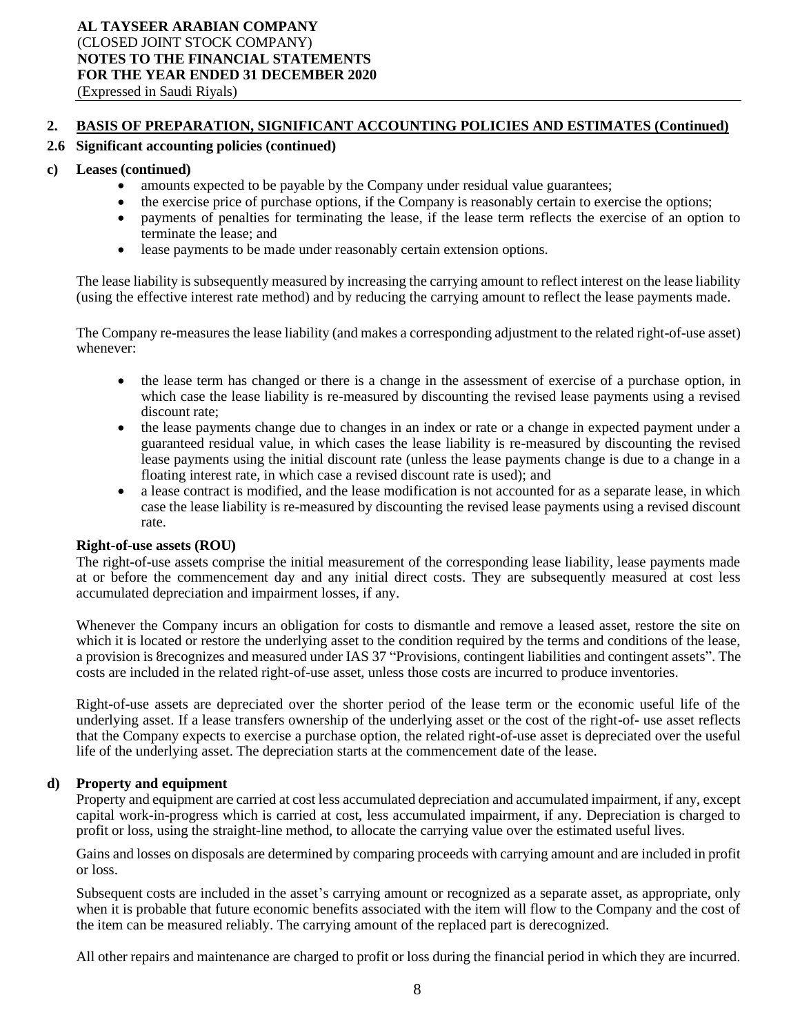## **2.6 Significant accounting policies (continued)**

#### **c) Leases (continued)**

- amounts expected to be payable by the Company under residual value guarantees;
- the exercise price of purchase options, if the Company is reasonably certain to exercise the options;
- payments of penalties for terminating the lease, if the lease term reflects the exercise of an option to terminate the lease; and
- lease payments to be made under reasonably certain extension options.

The lease liability is subsequently measured by increasing the carrying amount to reflect interest on the lease liability (using the effective interest rate method) and by reducing the carrying amount to reflect the lease payments made.

The Company re-measures the lease liability (and makes a corresponding adjustment to the related right-of-use asset) whenever:

- the lease term has changed or there is a change in the assessment of exercise of a purchase option, in which case the lease liability is re-measured by discounting the revised lease payments using a revised discount rate;
- the lease payments change due to changes in an index or rate or a change in expected payment under a guaranteed residual value, in which cases the lease liability is re-measured by discounting the revised lease payments using the initial discount rate (unless the lease payments change is due to a change in a floating interest rate, in which case a revised discount rate is used); and
- a lease contract is modified, and the lease modification is not accounted for as a separate lease, in which case the lease liability is re-measured by discounting the revised lease payments using a revised discount rate.

#### **Right-of-use assets (ROU)**

The right-of-use assets comprise the initial measurement of the corresponding lease liability, lease payments made at or before the commencement day and any initial direct costs. They are subsequently measured at cost less accumulated depreciation and impairment losses, if any.

Whenever the Company incurs an obligation for costs to dismantle and remove a leased asset, restore the site on which it is located or restore the underlying asset to the condition required by the terms and conditions of the lease, a provision is 8recognizes and measured under IAS 37 "Provisions, contingent liabilities and contingent assets". The costs are included in the related right-of-use asset, unless those costs are incurred to produce inventories.

Right-of-use assets are depreciated over the shorter period of the lease term or the economic useful life of the underlying asset. If a lease transfers ownership of the underlying asset or the cost of the right-of- use asset reflects that the Company expects to exercise a purchase option, the related right-of-use asset is depreciated over the useful life of the underlying asset. The depreciation starts at the commencement date of the lease.

## **d) Property and equipment**

Property and equipment are carried at cost less accumulated depreciation and accumulated impairment, if any, except capital work-in-progress which is carried at cost, less accumulated impairment, if any. Depreciation is charged to profit or loss, using the straight-line method, to allocate the carrying value over the estimated useful lives.

Gains and losses on disposals are determined by comparing proceeds with carrying amount and are included in profit or loss.

Subsequent costs are included in the asset's carrying amount or recognized as a separate asset, as appropriate, only when it is probable that future economic benefits associated with the item will flow to the Company and the cost of the item can be measured reliably. The carrying amount of the replaced part is derecognized.

All other repairs and maintenance are charged to profit or loss during the financial period in which they are incurred.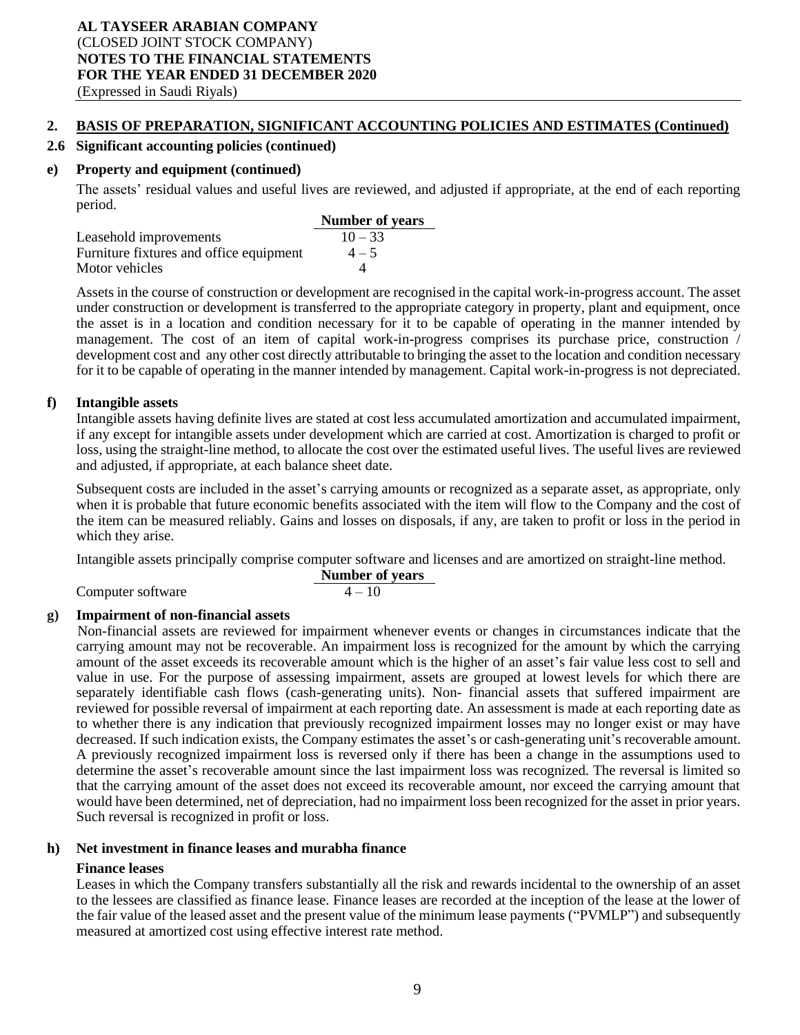## **2.6 Significant accounting policies (continued)**

#### **e) Property and equipment (continued)**

The assets' residual values and useful lives are reviewed, and adjusted if appropriate, at the end of each reporting period.

|                                         | <b>Number of years</b> |
|-----------------------------------------|------------------------|
| Leasehold improvements                  | $10 - 33$              |
| Furniture fixtures and office equipment | $4 - 5$                |
| Motor vehicles                          |                        |

Assets in the course of construction or development are recognised in the capital work-in-progress account. The asset under construction or development is transferred to the appropriate category in property, plant and equipment, once the asset is in a location and condition necessary for it to be capable of operating in the manner intended by management. The cost of an item of capital work-in-progress comprises its purchase price, construction / development cost and any other cost directly attributable to bringing the asset to the location and condition necessary for it to be capable of operating in the manner intended by management. Capital work-in-progress is not depreciated.

#### **f) Intangible assets**

Intangible assets having definite lives are stated at cost less accumulated amortization and accumulated impairment, if any except for intangible assets under development which are carried at cost. Amortization is charged to profit or loss, using the straight-line method, to allocate the cost over the estimated useful lives. The useful lives are reviewed and adjusted, if appropriate, at each balance sheet date.

Subsequent costs are included in the asset's carrying amounts or recognized as a separate asset, as appropriate, only when it is probable that future economic benefits associated with the item will flow to the Company and the cost of the item can be measured reliably. Gains and losses on disposals, if any, are taken to profit or loss in the period in which they arise.

Intangible assets principally comprise computer software and licenses and are amortized on straight-line method. **Number of years**

| Computer software |  |
|-------------------|--|

## Computer software  $4-10$

## **g) Impairment of non-financial assets**

Non-financial assets are reviewed for impairment whenever events or changes in circumstances indicate that the carrying amount may not be recoverable. An impairment loss is recognized for the amount by which the carrying amount of the asset exceeds its recoverable amount which is the higher of an asset's fair value less cost to sell and value in use. For the purpose of assessing impairment, assets are grouped at lowest levels for which there are separately identifiable cash flows (cash-generating units). Non- financial assets that suffered impairment are reviewed for possible reversal of impairment at each reporting date. An assessment is made at each reporting date as to whether there is any indication that previously recognized impairment losses may no longer exist or may have decreased. If such indication exists, the Company estimates the asset's or cash-generating unit's recoverable amount. A previously recognized impairment loss is reversed only if there has been a change in the assumptions used to determine the asset's recoverable amount since the last impairment loss was recognized. The reversal is limited so that the carrying amount of the asset does not exceed its recoverable amount, nor exceed the carrying amount that would have been determined, net of depreciation, had no impairment loss been recognized for the asset in prior years. Such reversal is recognized in profit or loss.

## **h) Net investment in finance leases and murabha finance**

## **Finance leases**

Leases in which the Company transfers substantially all the risk and rewards incidental to the ownership of an asset to the lessees are classified as finance lease. Finance leases are recorded at the inception of the lease at the lower of the fair value of the leased asset and the present value of the minimum lease payments ("PVMLP") and subsequently measured at amortized cost using effective interest rate method.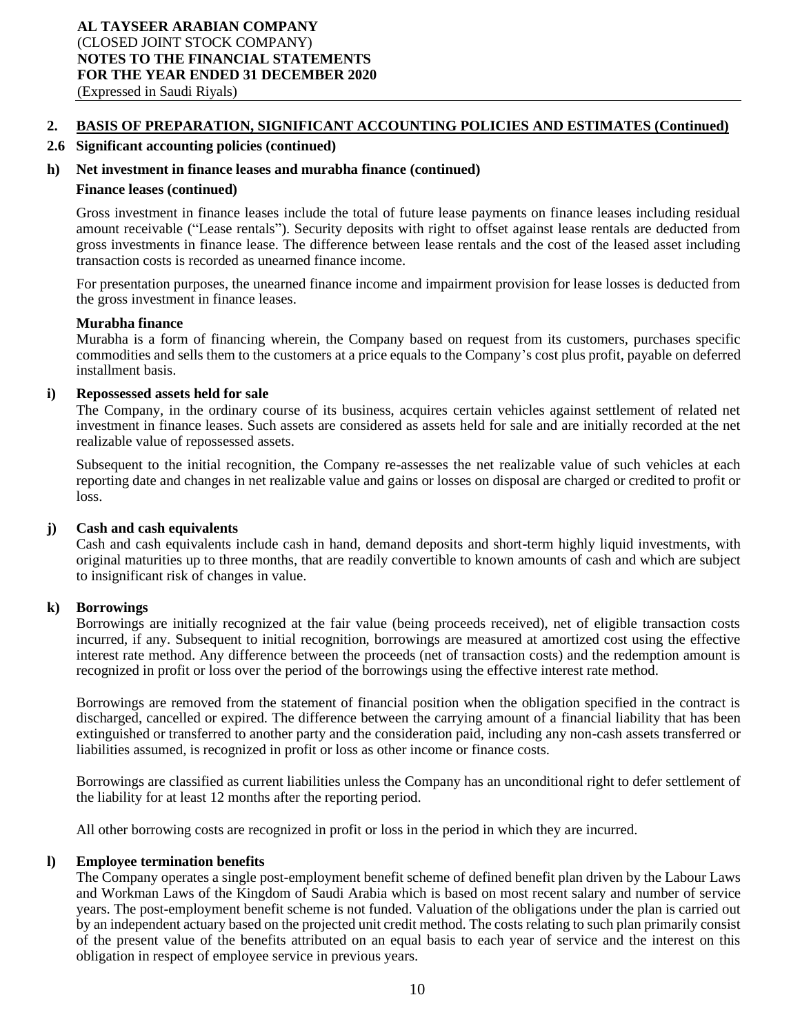#### **2.6 Significant accounting policies (continued)**

#### **h) Net investment in finance leases and murabha finance (continued)**

#### **Finance leases (continued)**

Gross investment in finance leases include the total of future lease payments on finance leases including residual amount receivable ("Lease rentals"). Security deposits with right to offset against lease rentals are deducted from gross investments in finance lease. The difference between lease rentals and the cost of the leased asset including transaction costs is recorded as unearned finance income.

For presentation purposes, the unearned finance income and impairment provision for lease losses is deducted from the gross investment in finance leases.

#### **Murabha finance**

Murabha is a form of financing wherein, the Company based on request from its customers, purchases specific commodities and sells them to the customers at a price equals to the Company's cost plus profit, payable on deferred installment basis.

#### **i) Repossessed assets held for sale**

The Company, in the ordinary course of its business, acquires certain vehicles against settlement of related net investment in finance leases. Such assets are considered as assets held for sale and are initially recorded at the net realizable value of repossessed assets.

Subsequent to the initial recognition, the Company re-assesses the net realizable value of such vehicles at each reporting date and changes in net realizable value and gains or losses on disposal are charged or credited to profit or loss.

#### **j) Cash and cash equivalents**

Cash and cash equivalents include cash in hand, demand deposits and short-term highly liquid investments, with original maturities up to three months, that are readily convertible to known amounts of cash and which are subject to insignificant risk of changes in value.

#### **k) Borrowings**

Borrowings are initially recognized at the fair value (being proceeds received), net of eligible transaction costs incurred, if any. Subsequent to initial recognition, borrowings are measured at amortized cost using the effective interest rate method. Any difference between the proceeds (net of transaction costs) and the redemption amount is recognized in profit or loss over the period of the borrowings using the effective interest rate method.

Borrowings are removed from the statement of financial position when the obligation specified in the contract is discharged, cancelled or expired. The difference between the carrying amount of a financial liability that has been extinguished or transferred to another party and the consideration paid, including any non-cash assets transferred or liabilities assumed, is recognized in profit or loss as other income or finance costs.

Borrowings are classified as current liabilities unless the Company has an unconditional right to defer settlement of the liability for at least 12 months after the reporting period.

All other borrowing costs are recognized in profit or loss in the period in which they are incurred.

#### **l) Employee termination benefits**

The Company operates a single post-employment benefit scheme of defined benefit plan driven by the Labour Laws and Workman Laws of the Kingdom of Saudi Arabia which is based on most recent salary and number of service years. The post-employment benefit scheme is not funded. Valuation of the obligations under the plan is carried out by an independent actuary based on the projected unit credit method. The costs relating to such plan primarily consist of the present value of the benefits attributed on an equal basis to each year of service and the interest on this obligation in respect of employee service in previous years.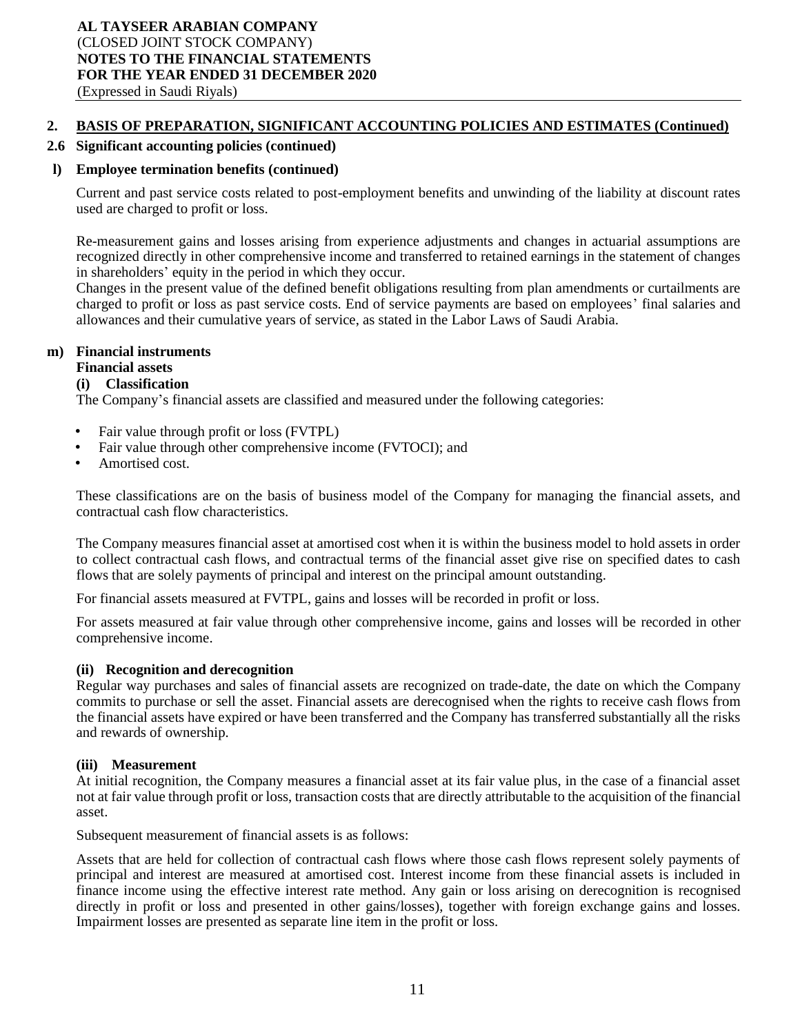#### **2.6 Significant accounting policies (continued)**

#### **l) Employee termination benefits (continued)**

Current and past service costs related to post-employment benefits and unwinding of the liability at discount rates used are charged to profit or loss.

Re-measurement gains and losses arising from experience adjustments and changes in actuarial assumptions are recognized directly in other comprehensive income and transferred to retained earnings in the statement of changes in shareholders' equity in the period in which they occur.

Changes in the present value of the defined benefit obligations resulting from plan amendments or curtailments are charged to profit or loss as past service costs. End of service payments are based on employees' final salaries and allowances and their cumulative years of service, as stated in the Labor Laws of Saudi Arabia.

#### **m) Financial instruments**

## **Financial assets**

#### **(i) Classification**

The Company's financial assets are classified and measured under the following categories:

- Fair value through profit or loss (FVTPL)
- Fair value through other comprehensive income (FVTOCI); and
- Amortised cost.

These classifications are on the basis of business model of the Company for managing the financial assets, and contractual cash flow characteristics.

The Company measures financial asset at amortised cost when it is within the business model to hold assets in order to collect contractual cash flows, and contractual terms of the financial asset give rise on specified dates to cash flows that are solely payments of principal and interest on the principal amount outstanding.

For financial assets measured at FVTPL, gains and losses will be recorded in profit or loss.

For assets measured at fair value through other comprehensive income, gains and losses will be recorded in other comprehensive income.

#### **(ii) Recognition and derecognition**

Regular way purchases and sales of financial assets are recognized on trade-date, the date on which the Company commits to purchase or sell the asset. Financial assets are derecognised when the rights to receive cash flows from the financial assets have expired or have been transferred and the Company has transferred substantially all the risks and rewards of ownership.

#### **(iii) Measurement**

At initial recognition, the Company measures a financial asset at its fair value plus, in the case of a financial asset not at fair value through profit or loss, transaction costs that are directly attributable to the acquisition of the financial asset.

Subsequent measurement of financial assets is as follows:

Assets that are held for collection of contractual cash flows where those cash flows represent solely payments of principal and interest are measured at amortised cost. Interest income from these financial assets is included in finance income using the effective interest rate method. Any gain or loss arising on derecognition is recognised directly in profit or loss and presented in other gains/losses), together with foreign exchange gains and losses. Impairment losses are presented as separate line item in the profit or loss.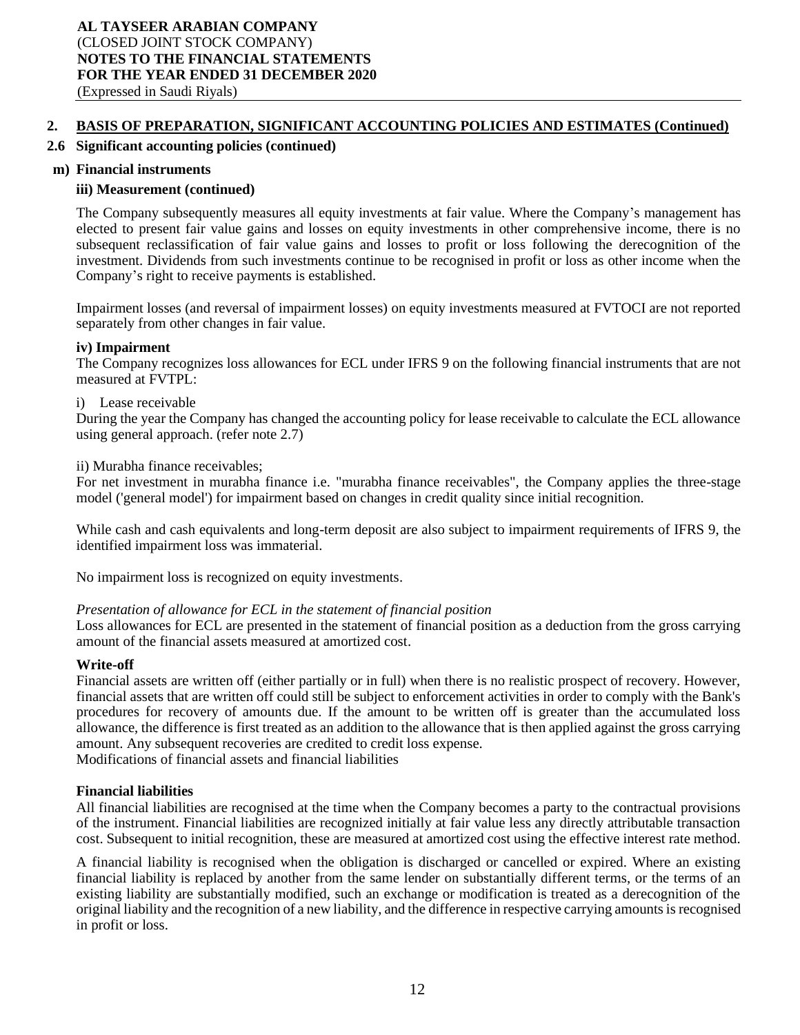#### **2.6 Significant accounting policies (continued)**

#### **m) Financial instruments**

#### **iii) Measurement (continued)**

The Company subsequently measures all equity investments at fair value. Where the Company's management has elected to present fair value gains and losses on equity investments in other comprehensive income, there is no subsequent reclassification of fair value gains and losses to profit or loss following the derecognition of the investment. Dividends from such investments continue to be recognised in profit or loss as other income when the Company's right to receive payments is established.

Impairment losses (and reversal of impairment losses) on equity investments measured at FVTOCI are not reported separately from other changes in fair value.

#### **iv) Impairment**

The Company recognizes loss allowances for ECL under IFRS 9 on the following financial instruments that are not measured at FVTPL:

#### i) Lease receivable

During the year the Company has changed the accounting policy for lease receivable to calculate the ECL allowance using general approach. (refer note 2.7)

ii) Murabha finance receivables;

For net investment in murabha finance i.e. "murabha finance receivables", the Company applies the three-stage model ('general model') for impairment based on changes in credit quality since initial recognition.

While cash and cash equivalents and long-term deposit are also subject to impairment requirements of IFRS 9, the identified impairment loss was immaterial.

No impairment loss is recognized on equity investments.

#### *Presentation of allowance for ECL in the statement of financial position*

Loss allowances for ECL are presented in the statement of financial position as a deduction from the gross carrying amount of the financial assets measured at amortized cost.

#### **Write-off**

Financial assets are written off (either partially or in full) when there is no realistic prospect of recovery. However, financial assets that are written off could still be subject to enforcement activities in order to comply with the Bank's procedures for recovery of amounts due. If the amount to be written off is greater than the accumulated loss allowance, the difference is first treated as an addition to the allowance that is then applied against the gross carrying amount. Any subsequent recoveries are credited to credit loss expense. Modifications of financial assets and financial liabilities

**Financial liabilities**

All financial liabilities are recognised at the time when the Company becomes a party to the contractual provisions of the instrument. Financial liabilities are recognized initially at fair value less any directly attributable transaction cost. Subsequent to initial recognition, these are measured at amortized cost using the effective interest rate method.

A financial liability is recognised when the obligation is discharged or cancelled or expired. Where an existing financial liability is replaced by another from the same lender on substantially different terms, or the terms of an existing liability are substantially modified, such an exchange or modification is treated as a derecognition of the original liability and the recognition of a new liability, and the difference in respective carrying amounts is recognised in profit or loss.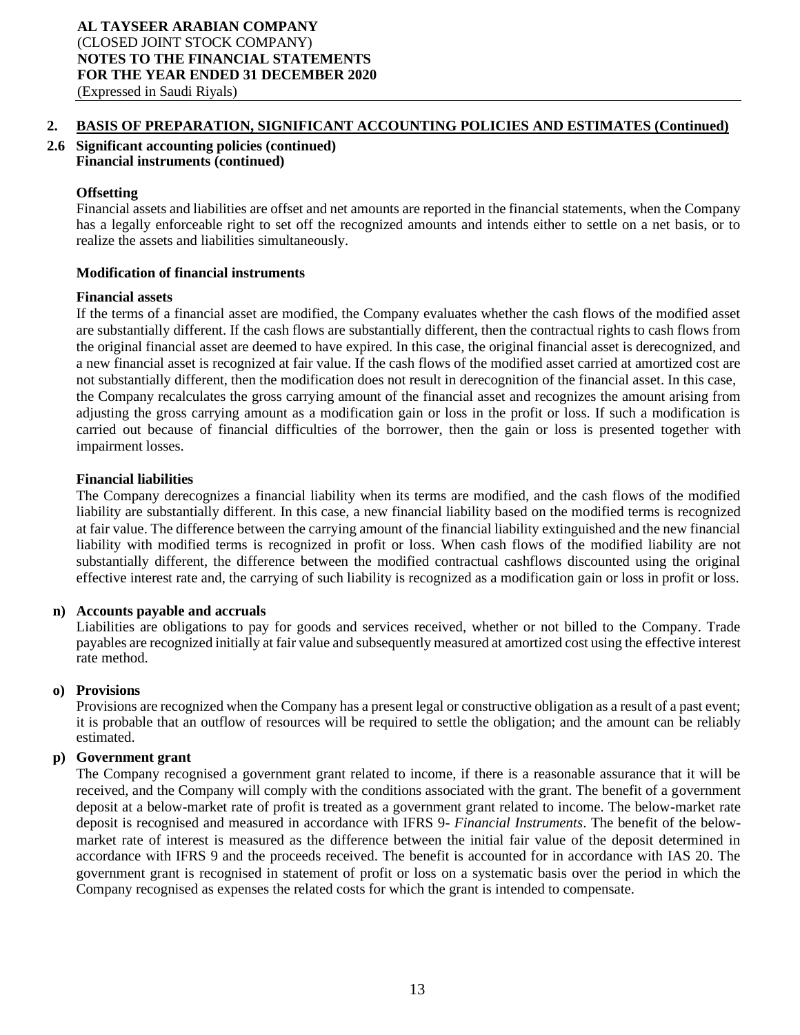**2.6 Significant accounting policies (continued) Financial instruments (continued)**

## **Offsetting**

Financial assets and liabilities are offset and net amounts are reported in the financial statements, when the Company has a legally enforceable right to set off the recognized amounts and intends either to settle on a net basis, or to realize the assets and liabilities simultaneously.

## **Modification of financial instruments**

## **Financial assets**

If the terms of a financial asset are modified, the Company evaluates whether the cash flows of the modified asset are substantially different. If the cash flows are substantially different, then the contractual rights to cash flows from the original financial asset are deemed to have expired. In this case, the original financial asset is derecognized, and a new financial asset is recognized at fair value. If the cash flows of the modified asset carried at amortized cost are not substantially different, then the modification does not result in derecognition of the financial asset. In this case, the Company recalculates the gross carrying amount of the financial asset and recognizes the amount arising from adjusting the gross carrying amount as a modification gain or loss in the profit or loss. If such a modification is carried out because of financial difficulties of the borrower, then the gain or loss is presented together with impairment losses.

## **Financial liabilities**

The Company derecognizes a financial liability when its terms are modified, and the cash flows of the modified liability are substantially different. In this case, a new financial liability based on the modified terms is recognized at fair value. The difference between the carrying amount of the financial liability extinguished and the new financial liability with modified terms is recognized in profit or loss. When cash flows of the modified liability are not substantially different, the difference between the modified contractual cashflows discounted using the original effective interest rate and, the carrying of such liability is recognized as a modification gain or loss in profit or loss.

## **n) Accounts payable and accruals**

Liabilities are obligations to pay for goods and services received, whether or not billed to the Company. Trade payables are recognized initially at fair value and subsequently measured at amortized cost using the effective interest rate method.

## **o) Provisions**

Provisions are recognized when the Company has a present legal or constructive obligation as a result of a past event; it is probable that an outflow of resources will be required to settle the obligation; and the amount can be reliably estimated.

## **p) Government grant**

The Company recognised a government grant related to income, if there is a reasonable assurance that it will be received, and the Company will comply with the conditions associated with the grant. The benefit of a government deposit at a below-market rate of profit is treated as a government grant related to income. The below-market rate deposit is recognised and measured in accordance with IFRS 9- *Financial Instruments*. The benefit of the belowmarket rate of interest is measured as the difference between the initial fair value of the deposit determined in accordance with IFRS 9 and the proceeds received. The benefit is accounted for in accordance with IAS 20. The government grant is recognised in statement of profit or loss on a systematic basis over the period in which the Company recognised as expenses the related costs for which the grant is intended to compensate.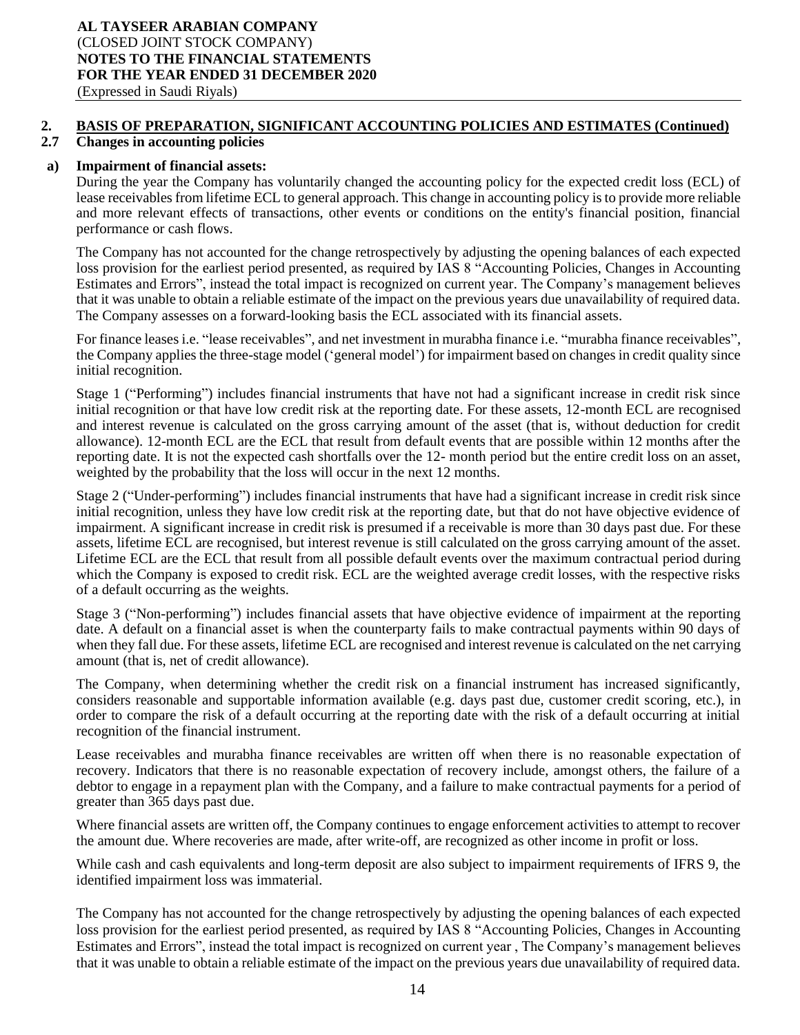#### **2.7 Changes in accounting policies**

#### **a) Impairment of financial assets:**

During the year the Company has voluntarily changed the accounting policy for the expected credit loss (ECL) of lease receivables from lifetime ECL to general approach. This change in accounting policy is to provide more reliable and more relevant effects of transactions, other events or conditions on the entity's financial position, financial performance or cash flows.

The Company has not accounted for the change retrospectively by adjusting the opening balances of each expected loss provision for the earliest period presented, as required by IAS 8 "Accounting Policies, Changes in Accounting Estimates and Errors", instead the total impact is recognized on current year. The Company's management believes that it was unable to obtain a reliable estimate of the impact on the previous years due unavailability of required data. The Company assesses on a forward-looking basis the ECL associated with its financial assets.

For finance leases i.e. "lease receivables", and net investment in murabha finance i.e. "murabha finance receivables", the Company applies the three-stage model ('general model') for impairment based on changes in credit quality since initial recognition.

Stage 1 ("Performing") includes financial instruments that have not had a significant increase in credit risk since initial recognition or that have low credit risk at the reporting date. For these assets, 12-month ECL are recognised and interest revenue is calculated on the gross carrying amount of the asset (that is, without deduction for credit allowance). 12-month ECL are the ECL that result from default events that are possible within 12 months after the reporting date. It is not the expected cash shortfalls over the 12- month period but the entire credit loss on an asset, weighted by the probability that the loss will occur in the next 12 months.

Stage 2 ("Under-performing") includes financial instruments that have had a significant increase in credit risk since initial recognition, unless they have low credit risk at the reporting date, but that do not have objective evidence of impairment. A significant increase in credit risk is presumed if a receivable is more than 30 days past due. For these assets, lifetime ECL are recognised, but interest revenue is still calculated on the gross carrying amount of the asset. Lifetime ECL are the ECL that result from all possible default events over the maximum contractual period during which the Company is exposed to credit risk. ECL are the weighted average credit losses, with the respective risks of a default occurring as the weights.

Stage 3 ("Non-performing") includes financial assets that have objective evidence of impairment at the reporting date. A default on a financial asset is when the counterparty fails to make contractual payments within 90 days of when they fall due. For these assets, lifetime ECL are recognised and interest revenue is calculated on the net carrying amount (that is, net of credit allowance).

The Company, when determining whether the credit risk on a financial instrument has increased significantly, considers reasonable and supportable information available (e.g. days past due, customer credit scoring, etc.), in order to compare the risk of a default occurring at the reporting date with the risk of a default occurring at initial recognition of the financial instrument.

Lease receivables and murabha finance receivables are written off when there is no reasonable expectation of recovery. Indicators that there is no reasonable expectation of recovery include, amongst others, the failure of a debtor to engage in a repayment plan with the Company, and a failure to make contractual payments for a period of greater than 365 days past due.

Where financial assets are written off, the Company continues to engage enforcement activities to attempt to recover the amount due. Where recoveries are made, after write-off, are recognized as other income in profit or loss.

While cash and cash equivalents and long-term deposit are also subject to impairment requirements of IFRS 9, the identified impairment loss was immaterial.

The Company has not accounted for the change retrospectively by adjusting the opening balances of each expected loss provision for the earliest period presented, as required by IAS 8 "Accounting Policies, Changes in Accounting Estimates and Errors", instead the total impact is recognized on current year , The Company's management believes that it was unable to obtain a reliable estimate of the impact on the previous years due unavailability of required data.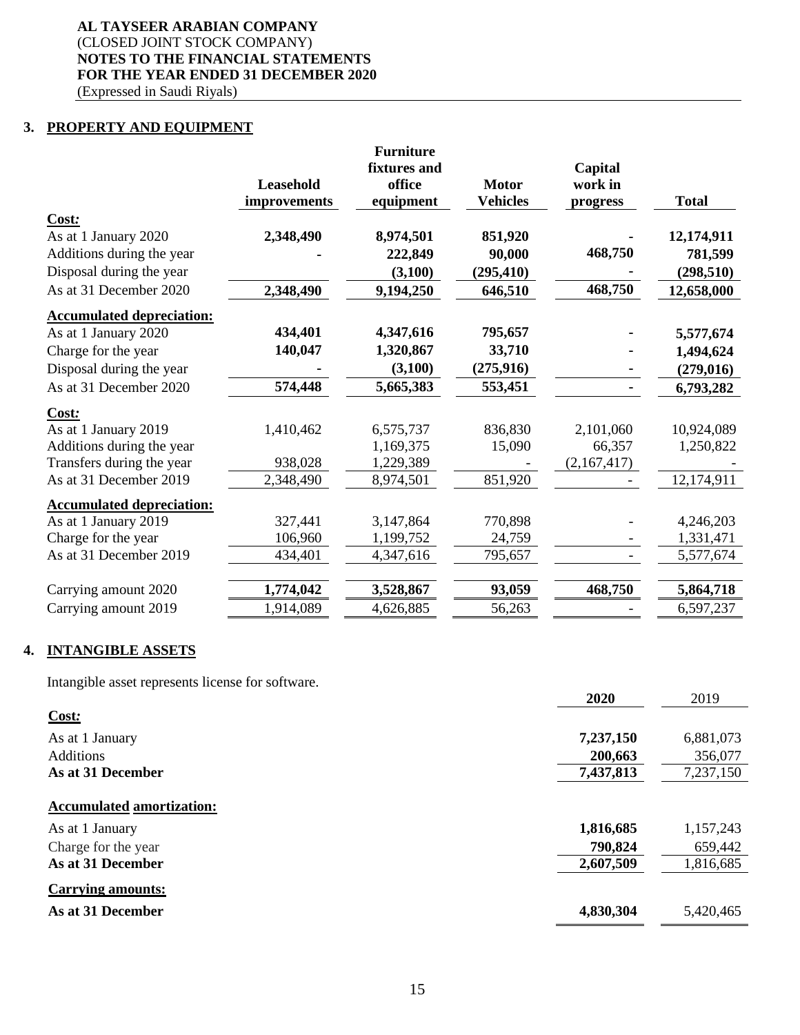## **3. PROPERTY AND EQUIPMENT**

|                                  |                  | <b>Furniture</b> |                 |             |              |
|----------------------------------|------------------|------------------|-----------------|-------------|--------------|
|                                  |                  | fixtures and     |                 | Capital     |              |
|                                  | <b>Leasehold</b> | office           | <b>Motor</b>    | work in     |              |
|                                  | improvements     | equipment        | <b>Vehicles</b> | progress    | <b>Total</b> |
| Cost:                            |                  |                  |                 |             |              |
| As at 1 January 2020             | 2,348,490        | 8,974,501        | 851,920         |             | 12,174,911   |
| Additions during the year        |                  | 222,849          | 90,000          | 468,750     | 781,599      |
| Disposal during the year         |                  | (3,100)          | (295, 410)      |             | (298, 510)   |
| As at 31 December 2020           | 2,348,490        | 9,194,250        | 646,510         | 468,750     | 12,658,000   |
| <b>Accumulated depreciation:</b> |                  |                  |                 |             |              |
| As at 1 January 2020             | 434,401          | 4,347,616        | 795,657         |             | 5,577,674    |
| Charge for the year              | 140,047          | 1,320,867        | 33,710          |             | 1,494,624    |
| Disposal during the year         |                  | (3,100)          | (275, 916)      |             | (279, 016)   |
| As at 31 December 2020           | 574,448          | 5,665,383        | 553,451         |             | 6,793,282    |
| Cost:                            |                  |                  |                 |             |              |
| As at 1 January 2019             | 1,410,462        | 6,575,737        | 836,830         | 2,101,060   | 10,924,089   |
| Additions during the year        |                  | 1,169,375        | 15,090          | 66,357      | 1,250,822    |
| Transfers during the year        | 938,028          | 1,229,389        |                 | (2,167,417) |              |
| As at 31 December 2019           | 2,348,490        | 8,974,501        | 851,920         |             | 12,174,911   |
| <b>Accumulated depreciation:</b> |                  |                  |                 |             |              |
| As at 1 January 2019             | 327,441          | 3,147,864        | 770,898         |             | 4,246,203    |
| Charge for the year              | 106,960          | 1,199,752        | 24,759          |             | 1,331,471    |
| As at 31 December 2019           | 434,401          | 4,347,616        | 795,657         |             | 5,577,674    |
| Carrying amount 2020             | 1,774,042        | 3,528,867        | 93,059          | 468,750     | 5,864,718    |
| Carrying amount 2019             | 1,914,089        | 4,626,885        | 56,263          |             | 6,597,237    |
|                                  |                  |                  |                 |             |              |

## **4. INTANGIBLE ASSETS**

Intangible asset represents license for software.

|                                  | 2020      | 2019      |
|----------------------------------|-----------|-----------|
| Cost:                            |           |           |
| As at 1 January                  | 7,237,150 | 6,881,073 |
| <b>Additions</b>                 | 200,663   | 356,077   |
| As at 31 December                | 7,437,813 | 7,237,150 |
| <b>Accumulated amortization:</b> |           |           |
|                                  |           |           |
| As at 1 January                  | 1,816,685 | 1,157,243 |
| Charge for the year              | 790,824   | 659,442   |
| As at 31 December                | 2,607,509 | 1,816,685 |
| <b>Carrying amounts:</b>         |           |           |
| As at 31 December                | 4,830,304 | 5,420,465 |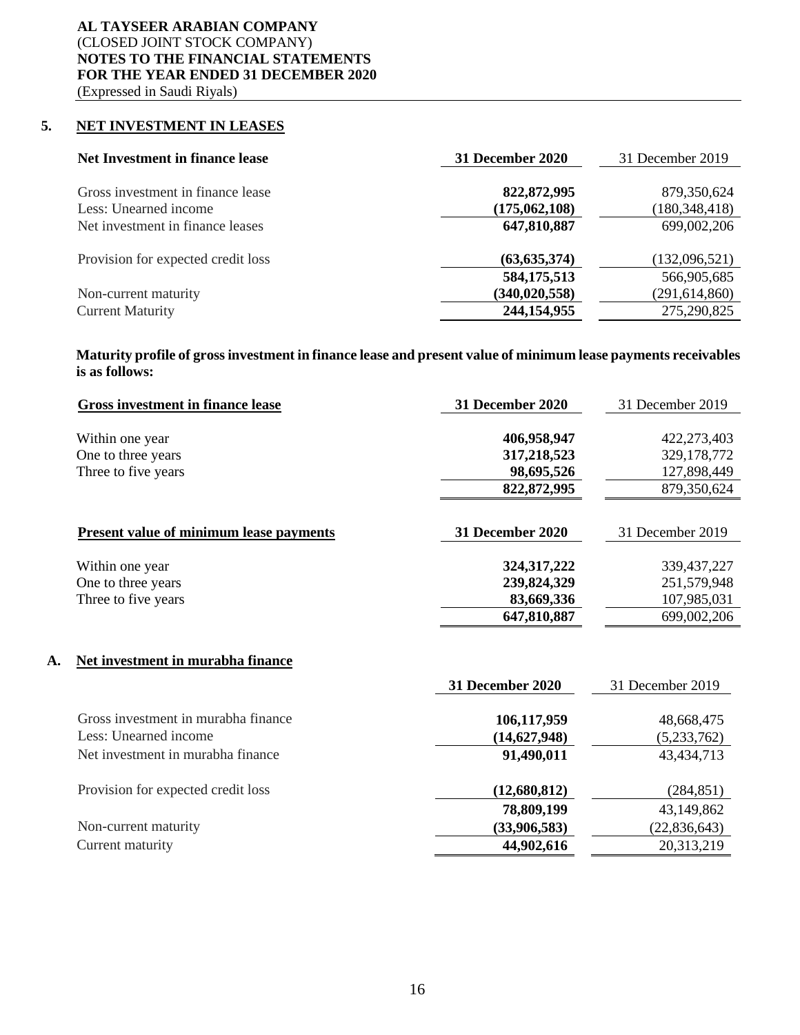## **5. NET INVESTMENT IN LEASES**

| 31 December 2020 | 31 December 2019 |
|------------------|------------------|
|                  |                  |
|                  | 879,350,624      |
| (175,062,108)    | (180, 348, 418)  |
| 647,810,887      | 699,002,206      |
|                  |                  |
| (63, 635, 374)   | (132,096,521)    |
| 584, 175, 513    | 566,905,685      |
| (340, 020, 558)  | (291, 614, 860)  |
| 244,154,955      | 275,290,825      |
|                  | 822,872,995      |

**Maturity profile of gross investment in finance lease and present value of minimum lease payments receivables is as follows:**

| <b>31 December 2020</b>    | 31 December 2019           |
|----------------------------|----------------------------|
| 406,958,947<br>317,218,523 | 422,273,403<br>329,178,772 |
| 98,695,526                 | 127,898,449                |
|                            | 879,350,624                |
| <b>31 December 2020</b>    | 31 December 2019           |
| 324, 317, 222              | 339, 437, 227              |
| 239,824,329                | 251,579,948                |
| 83,669,336                 | 107,985,031                |
| 647,810,887                | 699,002,206                |
|                            |                            |
| <b>31 December 2020</b>    | 31 December 2019           |
| 106,117,959                | 48,668,475                 |
| (14,627,948)               | (5,233,762)                |
| 91,490,011                 | 43, 434, 713               |
|                            | 822, 872, 995              |

| Provision for expected credit loss | (12,680,812) | (284, 851)   |
|------------------------------------|--------------|--------------|
|                                    | 78,809,199   | 43,149,862   |
| Non-current maturity               | (33,906,583) | (22,836,643) |
| Current maturity                   | 44,902,616   | 20,313,219   |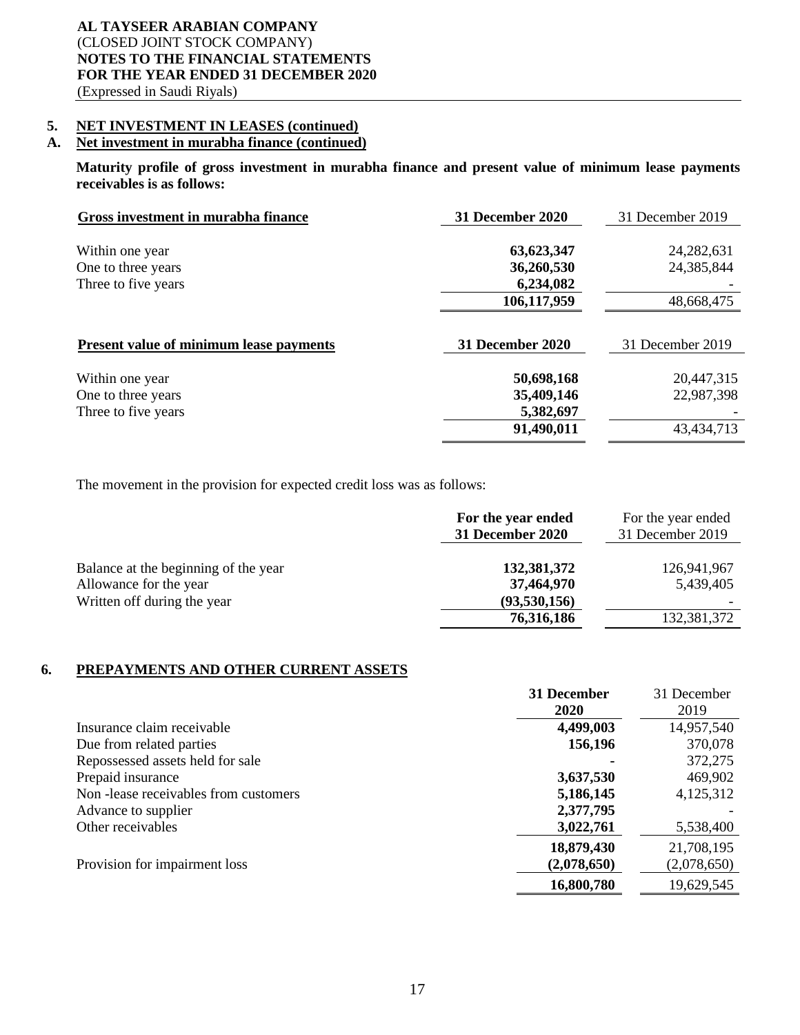## **5. NET INVESTMENT IN LEASES (continued)**

## **A. Net investment in murabha finance (continued)**

**Maturity profile of gross investment in murabha finance and present value of minimum lease payments receivables is as follows:**

| Gross investment in murabha finance            | <b>31 December 2020</b> | 31 December 2019 |
|------------------------------------------------|-------------------------|------------------|
|                                                |                         |                  |
| Within one year                                | 63,623,347              | 24, 282, 631     |
| One to three years                             | 36,260,530              | 24,385,844       |
| Three to five years                            | 6,234,082               |                  |
|                                                | 106,117,959             | 48,668,475       |
| <b>Present value of minimum lease payments</b> | 31 December 2020        | 31 December 2019 |
|                                                |                         |                  |
| Within one year                                | 50,698,168              | 20,447,315       |
| One to three years                             | 35,409,146              | 22,987,398       |
| Three to five years                            | 5,382,697               |                  |
|                                                | 91,490,011              | 43,434,713       |

The movement in the provision for expected credit loss was as follows:

|                                                                                               | For the year ended<br>31 December 2020    | For the year ended<br>31 December 2019 |
|-----------------------------------------------------------------------------------------------|-------------------------------------------|----------------------------------------|
| Balance at the beginning of the year<br>Allowance for the year<br>Written off during the year | 132,381,372<br>37,464,970<br>(93,530,156) | 126,941,967<br>5,439,405               |
|                                                                                               | 76,316,186                                | 132,381,372                            |

## **6. PREPAYMENTS AND OTHER CURRENT ASSETS**

|                                      | 31 December | 31 December |
|--------------------------------------|-------------|-------------|
|                                      | <b>2020</b> | 2019        |
| Insurance claim receivable           | 4,499,003   | 14,957,540  |
| Due from related parties             | 156,196     | 370,078     |
| Repossessed assets held for sale     |             | 372,275     |
| Prepaid insurance                    | 3,637,530   | 469,902     |
| Non-lease receivables from customers | 5,186,145   | 4,125,312   |
| Advance to supplier                  | 2,377,795   |             |
| Other receivables                    | 3,022,761   | 5,538,400   |
|                                      | 18,879,430  | 21,708,195  |
| Provision for impairment loss        | (2,078,650) | (2,078,650) |
|                                      | 16,800,780  | 19,629,545  |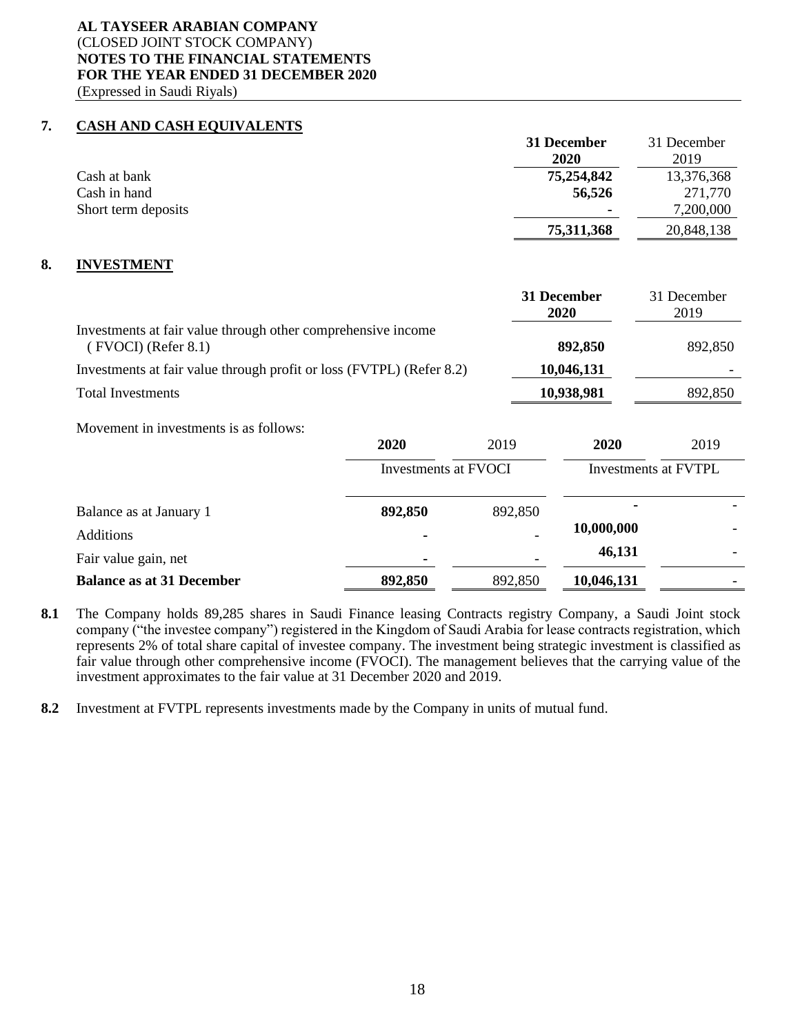## **7. CASH AND CASH EQUIVALENTS**

|                     | 31 December    | 31 December |
|---------------------|----------------|-------------|
|                     | 2020           | 2019        |
| Cash at bank        | 75,254,842     | 13,376,368  |
| Cash in hand        | 56,526         | 271,770     |
| Short term deposits | $\blacksquare$ | 7,200,000   |
|                     | 75,311,368     | 20,848,138  |

#### **8. INVESTMENT**

|                                                                                       |                      |         | 31 December<br><b>2020</b> | 31 December<br>2019  |
|---------------------------------------------------------------------------------------|----------------------|---------|----------------------------|----------------------|
| Investments at fair value through other comprehensive income<br>$(FVOCI)$ (Refer 8.1) |                      |         | 892,850                    | 892,850              |
| Investments at fair value through profit or loss (FVTPL) (Refer 8.2)                  |                      |         | 10,046,131                 |                      |
| <b>Total Investments</b>                                                              |                      |         | 10,938,981                 | 892,850              |
| Movement in investments is as follows:                                                | 2020                 | 2019    | 2020                       | 2019                 |
|                                                                                       | Investments at FVOCI |         |                            | Investments at FVTPL |
| Balance as at January 1                                                               | 892,850              | 892,850 | 1A AAA AAA                 |                      |

| <b>Additions</b>                 |         | -                        | 10,000,000 | $\overline{\phantom{0}}$ |
|----------------------------------|---------|--------------------------|------------|--------------------------|
| Fair value gain, net             |         | $\overline{\phantom{0}}$ | 46,131     | -                        |
| <b>Balance as at 31 December</b> | 892,850 | 892,850                  | 10,046,131 | $\overline{\phantom{0}}$ |

**8.1** The Company holds 89,285 shares in Saudi Finance leasing Contracts registry Company, a Saudi Joint stock company ("the investee company") registered in the Kingdom of Saudi Arabia for lease contracts registration, which represents 2% of total share capital of investee company. The investment being strategic investment is classified as fair value through other comprehensive income (FVOCI). The management believes that the carrying value of the investment approximates to the fair value at 31 December 2020 and 2019.

**8.2** Investment at FVTPL represents investments made by the Company in units of mutual fund.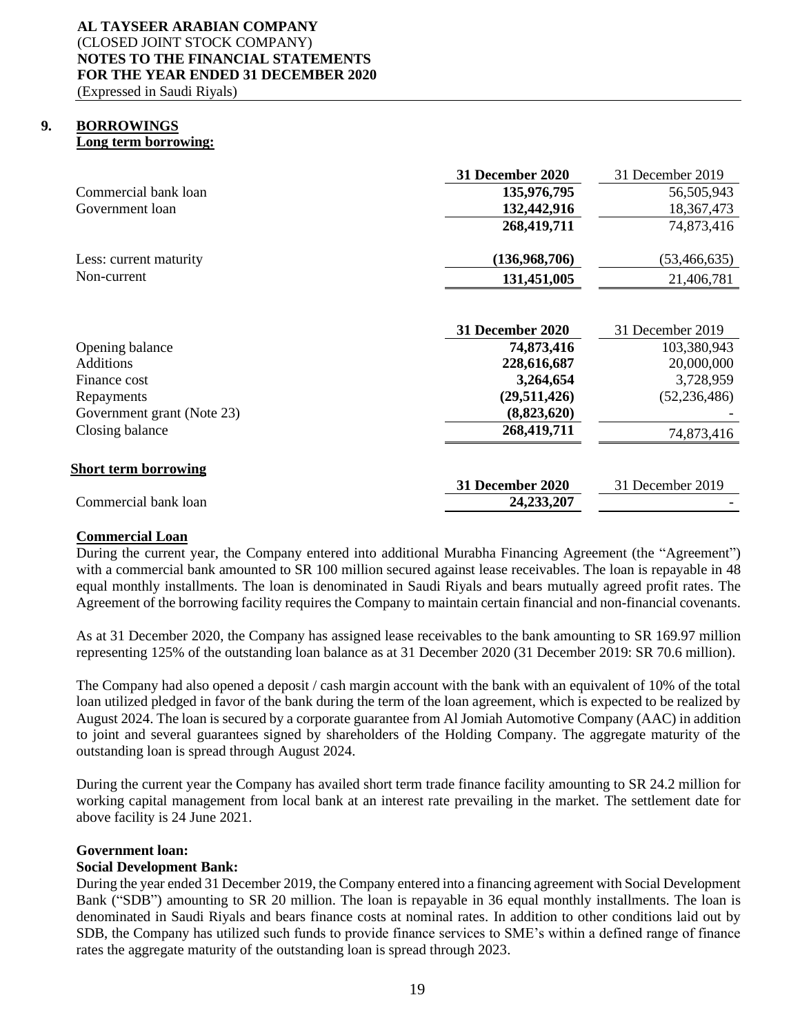#### **9. BORROWINGS Long term borrowing:**

|                             | <b>31 December 2020</b> | 31 December 2019 |
|-----------------------------|-------------------------|------------------|
| Commercial bank loan        | 135,976,795             | 56,505,943       |
| Government loan             | 132,442,916             | 18,367,473       |
|                             | 268,419,711             | 74,873,416       |
|                             |                         |                  |
| Less: current maturity      | (136,968,706)           | (53, 466, 635)   |
| Non-current                 | 131,451,005             | 21,406,781       |
|                             |                         |                  |
|                             | <b>31 December 2020</b> | 31 December 2019 |
| Opening balance             | 74,873,416              | 103,380,943      |
| Additions                   | 228,616,687             | 20,000,000       |
| Finance cost                | 3,264,654               | 3,728,959        |
| Repayments                  | (29,511,426)            | (52, 236, 486)   |
| Government grant (Note 23)  | (8,823,620)             |                  |
| Closing balance             | 268,419,711             | 74,873,416       |
| <b>Short term borrowing</b> |                         |                  |
|                             | <b>31 December 2020</b> | 31 December 2019 |
| Commercial bank loan        | 24, 233, 207            |                  |
|                             |                         |                  |

## **Commercial Loan**

During the current year, the Company entered into additional Murabha Financing Agreement (the "Agreement") with a commercial bank amounted to SR 100 million secured against lease receivables. The loan is repayable in 48 equal monthly installments. The loan is denominated in Saudi Riyals and bears mutually agreed profit rates. The Agreement of the borrowing facility requires the Company to maintain certain financial and non-financial covenants.

As at 31 December 2020, the Company has assigned lease receivables to the bank amounting to SR 169.97 million representing 125% of the outstanding loan balance as at 31 December 2020 (31 December 2019: SR 70.6 million).

The Company had also opened a deposit / cash margin account with the bank with an equivalent of 10% of the total loan utilized pledged in favor of the bank during the term of the loan agreement, which is expected to be realized by August 2024. The loan is secured by a corporate guarantee from Al Jomiah Automotive Company (AAC) in addition to joint and several guarantees signed by shareholders of the Holding Company. The aggregate maturity of the outstanding loan is spread through August 2024.

During the current year the Company has availed short term trade finance facility amounting to SR 24.2 million for working capital management from local bank at an interest rate prevailing in the market. The settlement date for above facility is 24 June 2021.

## **Government loan:**

## **Social Development Bank:**

During the year ended 31 December 2019, the Company entered into a financing agreement with Social Development Bank ("SDB") amounting to SR 20 million. The loan is repayable in 36 equal monthly installments. The loan is denominated in Saudi Riyals and bears finance costs at nominal rates. In addition to other conditions laid out by SDB, the Company has utilized such funds to provide finance services to SME's within a defined range of finance rates the aggregate maturity of the outstanding loan is spread through 2023.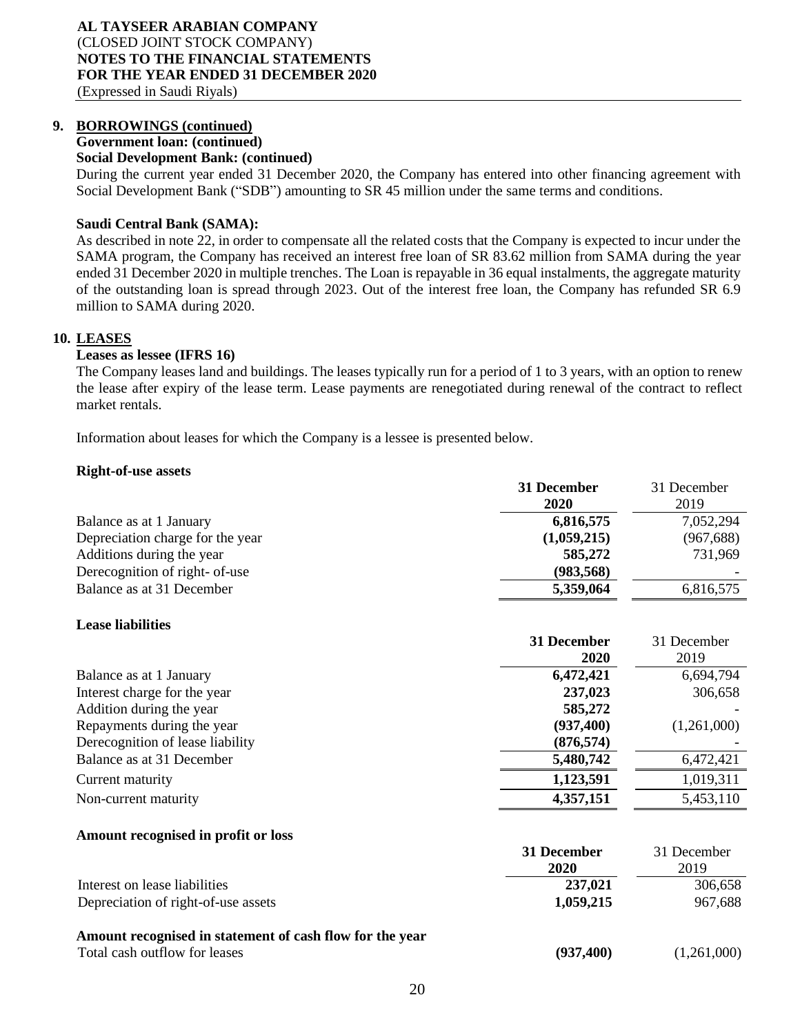## **9. BORROWINGS (continued)**

**Government loan: (continued)**

## **Social Development Bank: (continued)**

During the current year ended 31 December 2020, the Company has entered into other financing agreement with Social Development Bank ("SDB") amounting to SR 45 million under the same terms and conditions.

## **Saudi Central Bank (SAMA):**

As described in note 22, in order to compensate all the related costs that the Company is expected to incur under the SAMA program, the Company has received an interest free loan of SR 83.62 million from SAMA during the year ended 31 December 2020 in multiple trenches. The Loan is repayable in 36 equal instalments, the aggregate maturity of the outstanding loan is spread through 2023. Out of the interest free loan, the Company has refunded SR 6.9 million to SAMA during 2020.

## **10. LEASES**

## **Leases as lessee (IFRS 16)**

The Company leases land and buildings. The leases typically run for a period of 1 to 3 years, with an option to renew the lease after expiry of the lease term. Lease payments are renegotiated during renewal of the contract to reflect market rentals.

Information about leases for which the Company is a lessee is presented below.

#### **Right-of-use assets**

|                                  | 31 December<br><b>2020</b> | 31 December<br>2019 |
|----------------------------------|----------------------------|---------------------|
| Balance as at 1 January          | 6,816,575                  | 7,052,294           |
| Depreciation charge for the year | (1,059,215)                | (967, 688)          |
| Additions during the year        | 585,272                    | 731,969             |
| Derecognition of right- of-use   | (983, 568)                 |                     |
| Balance as at 31 December        | 5,359,064                  | 6,816,575           |
| <b>Lease liabilities</b>         |                            |                     |
|                                  | 31 December                | 31 December         |

|                                  | <b>2020</b> | 2019        |
|----------------------------------|-------------|-------------|
| Balance as at 1 January          | 6,472,421   | 6,694,794   |
| Interest charge for the year     | 237,023     | 306,658     |
| Addition during the year         | 585,272     |             |
| Repayments during the year       | (937, 400)  | (1,261,000) |
| Derecognition of lease liability | (876, 574)  |             |
| Balance as at 31 December        | 5,480,742   | 6,472,421   |
| Current maturity                 | 1,123,591   | 1,019,311   |
| Non-current maturity             | 4,357,151   | 5,453,110   |

#### **Amount recognised in profit or loss**

|                                                                                           | 31 December<br>2020 | 31 December<br>2019 |
|-------------------------------------------------------------------------------------------|---------------------|---------------------|
| Interest on lease liabilities                                                             | 237,021             | 306,658             |
| Depreciation of right-of-use assets                                                       | 1,059,215           | 967,688             |
| Amount recognised in statement of cash flow for the year<br>Total cash outflow for leases | (937, 400)          | (1,261,000)         |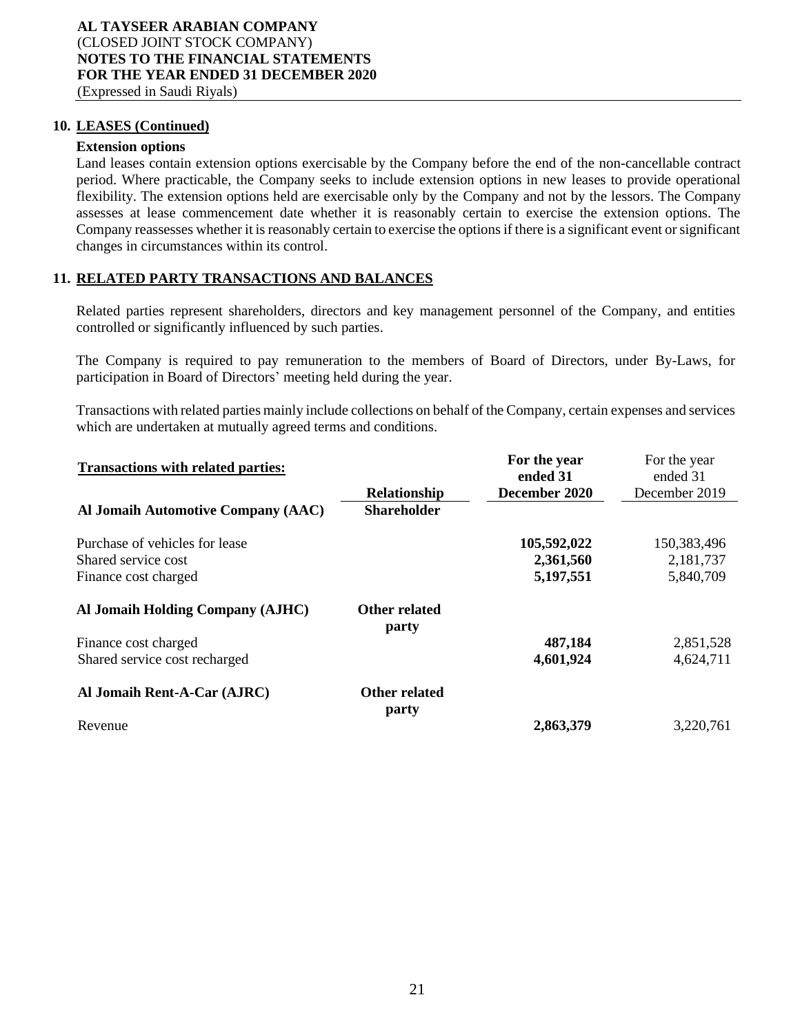#### **10. LEASES (Continued)**

#### **Extension options**

Land leases contain extension options exercisable by the Company before the end of the non-cancellable contract period. Where practicable, the Company seeks to include extension options in new leases to provide operational flexibility. The extension options held are exercisable only by the Company and not by the lessors. The Company assesses at lease commencement date whether it is reasonably certain to exercise the extension options. The Company reassesses whether it is reasonably certain to exercise the options if there is a significant event or significant changes in circumstances within its control.

#### **11. RELATED PARTY TRANSACTIONS AND BALANCES**

Related parties represent shareholders, directors and key management personnel of the Company, and entities controlled or significantly influenced by such parties.

The Company is required to pay remuneration to the members of Board of Directors, under By-Laws, for participation in Board of Directors' meeting held during the year.

Transactions with related parties mainly include collections on behalf of the Company, certain expenses and services which are undertaken at mutually agreed terms and conditions.

| <b>Transactions with related parties:</b> |                        | For the year<br>ended 31 | For the year<br>ended 31 |
|-------------------------------------------|------------------------|--------------------------|--------------------------|
|                                           | Relationship           | December 2020            | December 2019            |
| Al Jomaih Automotive Company (AAC)        | <b>Shareholder</b>     |                          |                          |
| Purchase of vehicles for lease            |                        | 105,592,022              | 150,383,496              |
| Shared service cost                       |                        | 2,361,560                | 2,181,737                |
| Finance cost charged                      |                        | 5,197,551                | 5,840,709                |
| Al Jomaih Holding Company (AJHC)          | Other related<br>party |                          |                          |
| Finance cost charged                      |                        | 487,184                  | 2,851,528                |
| Shared service cost recharged             |                        | 4,601,924                | 4,624,711                |
| Al Jomaih Rent-A-Car (AJRC)               | Other related<br>party |                          |                          |
| Revenue                                   |                        | 2,863,379                | 3,220,761                |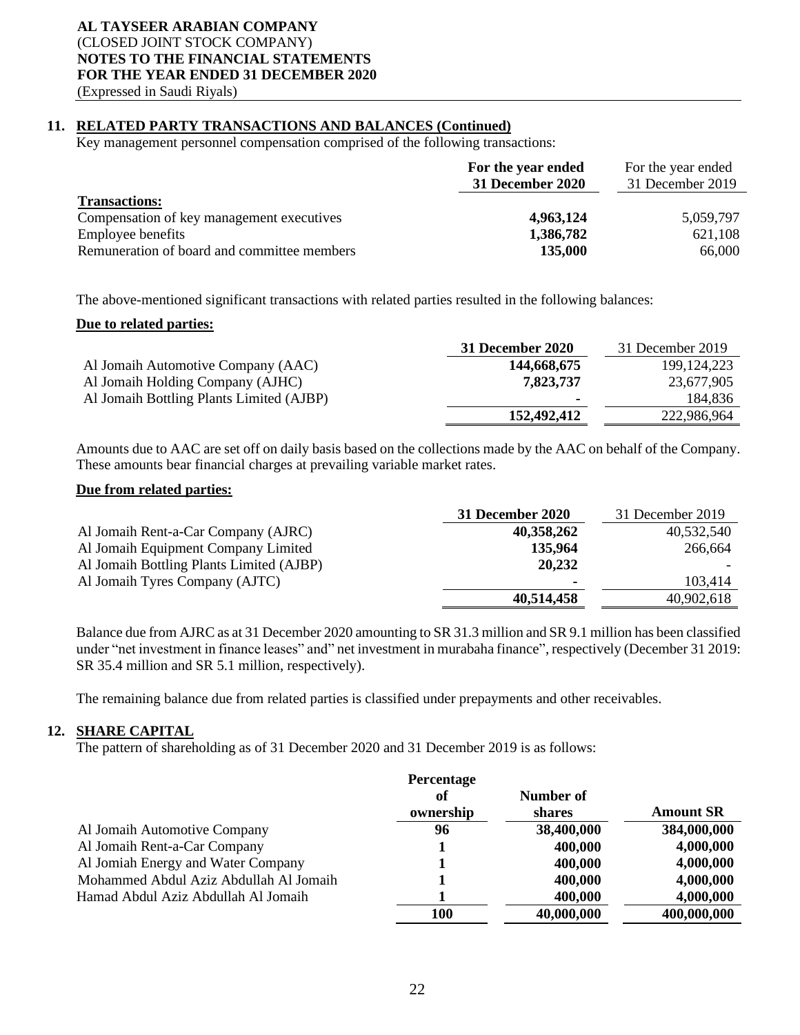## **11. RELATED PARTY TRANSACTIONS AND BALANCES (Continued)**

Key management personnel compensation comprised of the following transactions:

|                                             | For the year ended<br><b>31 December 2020</b> | For the year ended<br>31 December 2019 |
|---------------------------------------------|-----------------------------------------------|----------------------------------------|
| <b>Transactions:</b>                        |                                               |                                        |
| Compensation of key management executives   | 4,963,124                                     | 5,059,797                              |
| <b>Employee benefits</b>                    | 1,386,782                                     | 621,108                                |
| Remuneration of board and committee members | 135,000                                       | 66,000                                 |

The above-mentioned significant transactions with related parties resulted in the following balances:

#### **Due to related parties:**

|                                          | 31 December 2020 | 31 December 2019 |
|------------------------------------------|------------------|------------------|
| Al Jomaih Automotive Company (AAC)       | 144,668,675      | 199, 124, 223    |
| Al Jomaih Holding Company (AJHC)         | 7,823,737        | 23,677,905       |
| Al Jomaih Bottling Plants Limited (AJBP) | $\blacksquare$   | 184,836          |
|                                          | 152,492,412      | 222,986,964      |

Amounts due to AAC are set off on daily basis based on the collections made by the AAC on behalf of the Company. These amounts bear financial charges at prevailing variable market rates.

## **Due from related parties:**

|                                          | 31 December 2020         | 31 December 2019 |
|------------------------------------------|--------------------------|------------------|
| Al Jomaih Rent-a-Car Company (AJRC)      | 40,358,262               | 40,532,540       |
| Al Jomaih Equipment Company Limited      | 135,964                  | 266,664          |
| Al Jomaih Bottling Plants Limited (AJBP) | 20,232                   |                  |
| Al Jomaih Tyres Company (AJTC)           | $\overline{\phantom{a}}$ | 103.414          |
|                                          | 40,514,458               | 40,902,618       |

Balance due from AJRC as at 31 December 2020 amounting to SR 31.3 million and SR 9.1 million has been classified under "net investment in finance leases" and" net investment in murabaha finance", respectively (December 31 2019: SR 35.4 million and SR 5.1 million, respectively).

The remaining balance due from related parties is classified under prepayments and other receivables.

## **12. SHARE CAPITAL**

The pattern of shareholding as of 31 December 2020 and 31 December 2019 is as follows:

|                                        | Percentage<br>of<br>ownership | Number of<br>shares | <b>Amount SR</b> |
|----------------------------------------|-------------------------------|---------------------|------------------|
| Al Jomaih Automotive Company           | 96                            | 38,400,000          | 384,000,000      |
| Al Jomaih Rent-a-Car Company           |                               | 400,000             | 4,000,000        |
| Al Jomiah Energy and Water Company     |                               | 400,000             | 4,000,000        |
| Mohammed Abdul Aziz Abdullah Al Jomaih |                               | 400,000             | 4,000,000        |
| Hamad Abdul Aziz Abdullah Al Jomaih    |                               | 400,000             | 4,000,000        |
|                                        | 100                           | 40,000,000          | 400,000,000      |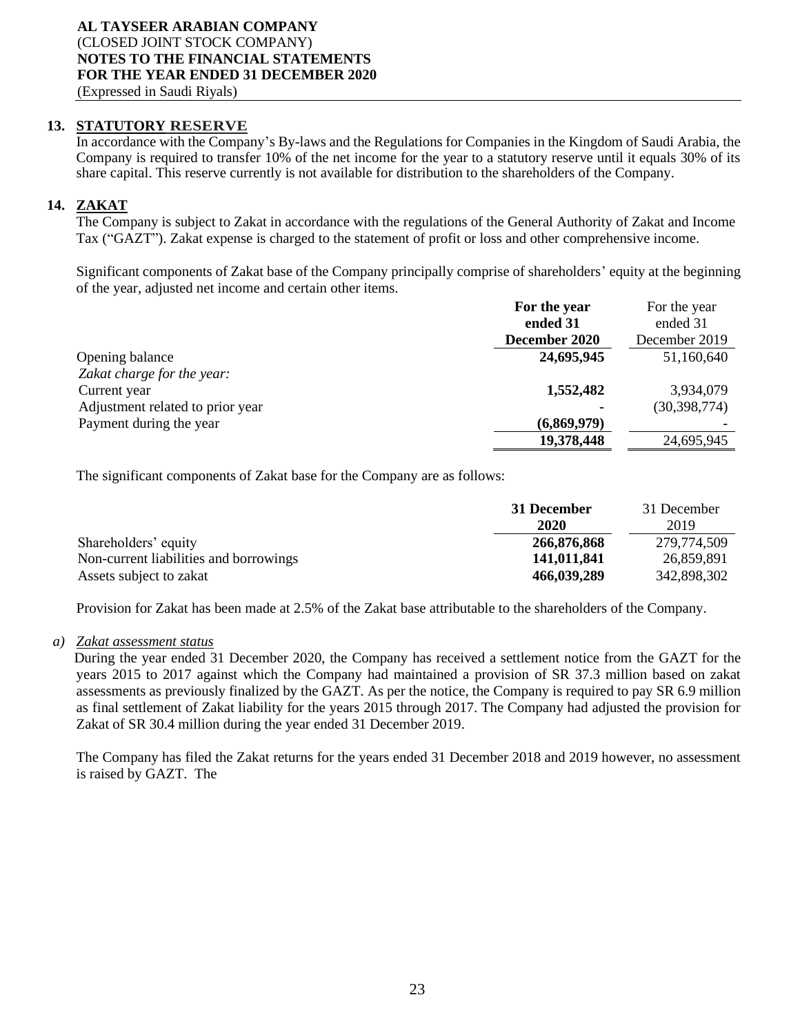## **13. STATUTORY RESERVE**

In accordance with the Company's By-laws and the Regulations for Companies in the Kingdom of Saudi Arabia, the Company is required to transfer 10% of the net income for the year to a statutory reserve until it equals 30% of its share capital. This reserve currently is not available for distribution to the shareholders of the Company.

## **14. ZAKAT**

The Company is subject to Zakat in accordance with the regulations of the General Authority of Zakat and Income Tax ("GAZT"). Zakat expense is charged to the statement of profit or loss and other comprehensive income.

Significant components of Zakat base of the Company principally comprise of shareholders' equity at the beginning of the year, adjusted net income and certain other items.

|                                  | For the year  | For the year   |
|----------------------------------|---------------|----------------|
|                                  | ended 31      | ended 31       |
|                                  | December 2020 | December 2019  |
| Opening balance                  | 24,695,945    | 51,160,640     |
| Zakat charge for the year:       |               |                |
| Current year                     | 1,552,482     | 3,934,079      |
| Adjustment related to prior year |               | (30, 398, 774) |
| Payment during the year          | (6,869,979)   |                |
|                                  | 19,378,448    | 24,695,945     |

The significant components of Zakat base for the Company are as follows:

|                                        | 31 December | 31 December |
|----------------------------------------|-------------|-------------|
|                                        | 2020        | 2019        |
| Shareholders' equity                   | 266,876,868 | 279,774,509 |
| Non-current liabilities and borrowings | 141,011,841 | 26,859,891  |
| Assets subject to zakat                | 466,039,289 | 342,898,302 |

Provision for Zakat has been made at 2.5% of the Zakat base attributable to the shareholders of the Company.

## *a) Zakat assessment status*

During the year ended 31 December 2020, the Company has received a settlement notice from the GAZT for the years 2015 to 2017 against which the Company had maintained a provision of SR 37.3 million based on zakat assessments as previously finalized by the GAZT. As per the notice, the Company is required to pay SR 6.9 million as final settlement of Zakat liability for the years 2015 through 2017. The Company had adjusted the provision for Zakat of SR 30.4 million during the year ended 31 December 2019.

The Company has filed the Zakat returns for the years ended 31 December 2018 and 2019 however, no assessment is raised by GAZT. The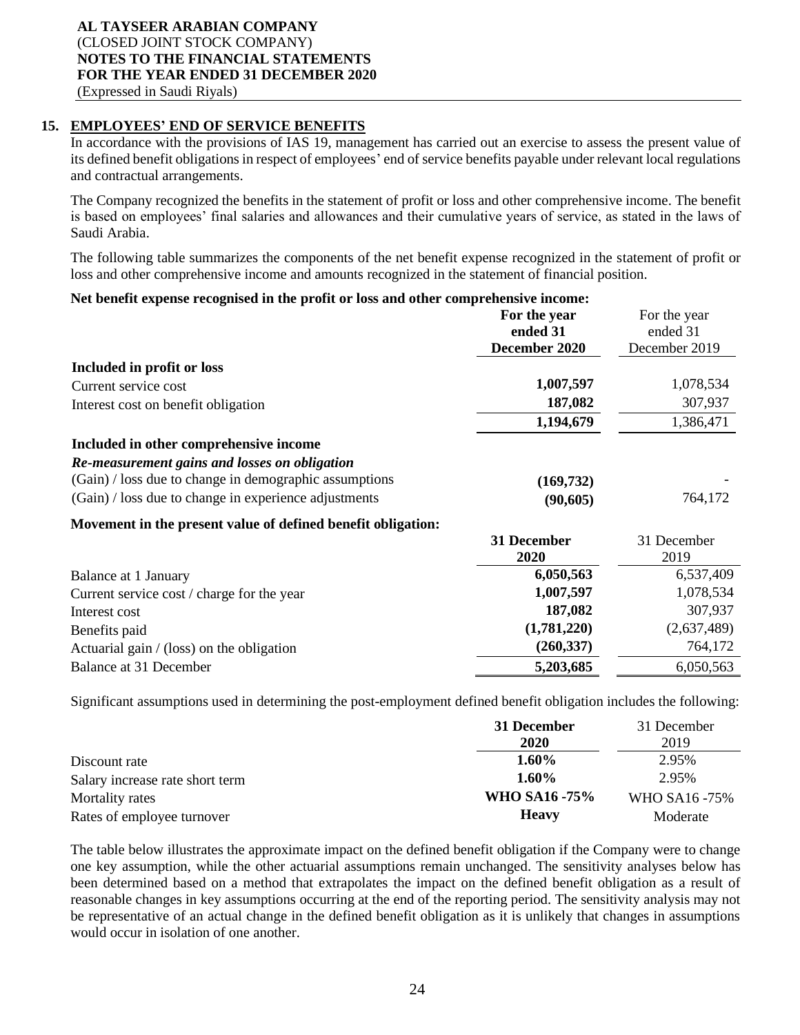## **15. EMPLOYEES' END OF SERVICE BENEFITS**

In accordance with the provisions of IAS 19, management has carried out an exercise to assess the present value of its defined benefit obligations in respect of employees' end of service benefits payable under relevant local regulations and contractual arrangements.

The Company recognized the benefits in the statement of profit or loss and other comprehensive income. The benefit is based on employees' final salaries and allowances and their cumulative years of service, as stated in the laws of Saudi Arabia.

The following table summarizes the components of the net benefit expense recognized in the statement of profit or loss and other comprehensive income and amounts recognized in the statement of financial position.

#### **Net benefit expense recognised in the profit or loss and other comprehensive income: For the year ended 31 December 2020** For the year ended 31 December 2019 **Included in profit or loss** Current service cost **1,007,597** 1,078,534 Interest cost on benefit obligation **187,082** 307,937 **1,194,679** 1,386,471 **Included in other comprehensive income** *Re-measurement gains and losses on obligation* (Gain) / loss due to change in demographic assumptions (169,732) (Gain) / loss due to change in experience adjustments **(90,605)** 764,172 **Movement in the present value of defined benefit obligation: 31 December 2020** 31 December 2019 Balance at 1 January **6,050,563** 6,537,409 Current service cost / charge for the year **1,007,597** 1,078,534 Interest cost **187,082** 307,937 Benefits paid **(1,781,220)** (2,637,489) Actuarial gain / (loss) on the obligation **(260,337)** 764,172

Significant assumptions used in determining the post-employment defined benefit obligation includes the following:

Balance at 31 December **5,203,685** 6,050,563

|                                 | 31 December   | 31 December   |
|---------------------------------|---------------|---------------|
|                                 | 2020          | 2019          |
| Discount rate                   | 1.60%         | 2.95%         |
| Salary increase rate short term | $1.60\%$      | 2.95%         |
| Mortality rates                 | WHO SA16 -75% | WHO SA16 -75% |
| Rates of employee turnover      | <b>Heavy</b>  | Moderate      |

The table below illustrates the approximate impact on the defined benefit obligation if the Company were to change one key assumption, while the other actuarial assumptions remain unchanged. The sensitivity analyses below has been determined based on a method that extrapolates the impact on the defined benefit obligation as a result of reasonable changes in key assumptions occurring at the end of the reporting period. The sensitivity analysis may not be representative of an actual change in the defined benefit obligation as it is unlikely that changes in assumptions would occur in isolation of one another.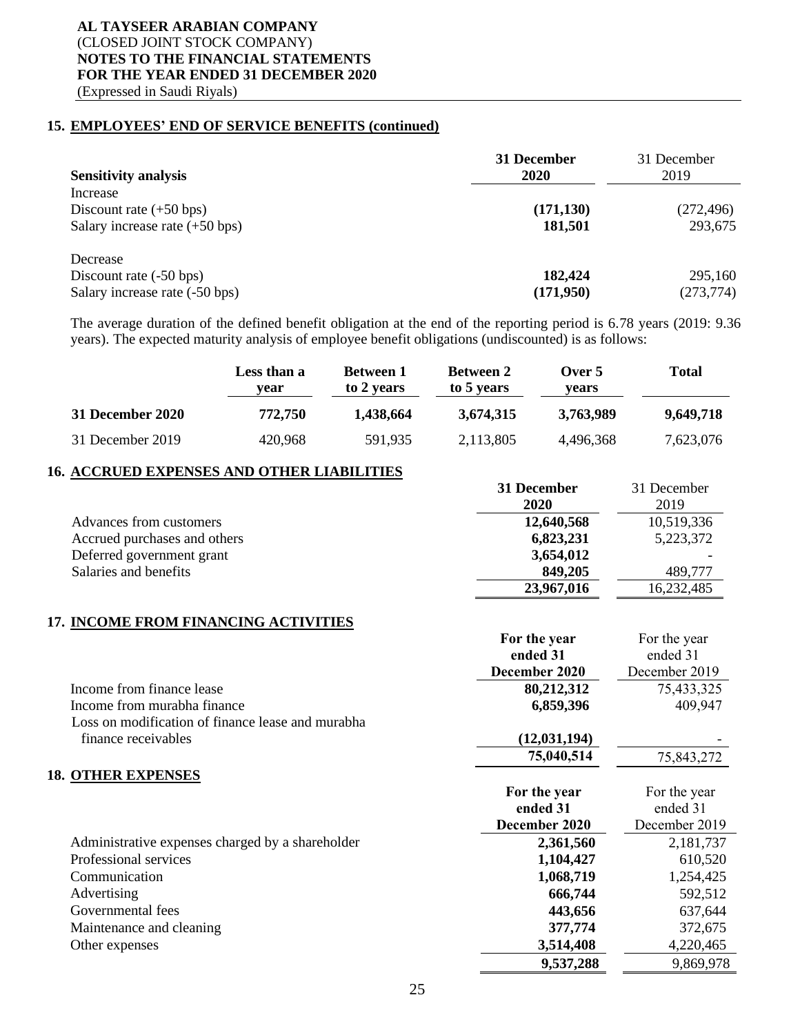## **15. EMPLOYEES' END OF SERVICE BENEFITS (continued)**

| <b>Sensitivity analysis</b>              | 31 December<br><b>2020</b> | 31 December<br>2019 |
|------------------------------------------|----------------------------|---------------------|
| Increase                                 |                            |                     |
| Discount rate $(+50 \text{ bps})$        | (171, 130)                 | (272, 496)          |
| Salary increase rate $(+50 \text{ bps})$ | 181,501                    | 293,675             |
| Decrease                                 |                            |                     |
| Discount rate (-50 bps)                  | 182,424                    | 295,160             |
| Salary increase rate (-50 bps)           | (171,950)                  | (273, 774)          |

The average duration of the defined benefit obligation at the end of the reporting period is 6.78 years (2019: 9.36 years). The expected maturity analysis of employee benefit obligations (undiscounted) is as follows:

|                  | Less than a<br>vear | <b>Between 1</b><br>to 2 years | <b>Between 2</b><br>to 5 years | Over $5$<br>vears | Total     |
|------------------|---------------------|--------------------------------|--------------------------------|-------------------|-----------|
| 31 December 2020 | 772,750             | 1.438.664                      | 3.674.315                      | 3,763,989         | 9,649,718 |
| 31 December 2019 | 420,968             | 591,935                        | 2,113,805                      | 4,496,368         | 7,623,076 |

#### **16. ACCRUED EXPENSES AND OTHER LIABILITIES**

|                              | 31 December<br>2020 | 31 December<br>2019 |
|------------------------------|---------------------|---------------------|
| Advances from customers      | 12,640,568          | 10,519,336          |
| Accrued purchases and others | 6,823,231           | 5,223,372           |
| Deferred government grant    | 3,654,012           |                     |
| Salaries and benefits        | 849,205             | 489.777             |
|                              | 23,967,016          | 16,232,485          |

## **17. INCOME FROM FINANCING ACTIVITIES**

|                                                   | For the year   | For the year  |
|---------------------------------------------------|----------------|---------------|
|                                                   | ended 31       | ended 31      |
|                                                   | December 2020  | December 2019 |
| Income from finance lease                         | 80,212,312     | 75,433,325    |
| Income from murabha finance                       | 6,859,396      | 409,947       |
| Loss on modification of finance lease and murabha |                |               |
| finance receivables                               | (12, 031, 194) |               |
|                                                   | 75,040,514     | 75,843,272    |
| <b>18. OTHER EXPENSES</b>                         |                |               |
|                                                   | For the year   | For the year  |
|                                                   | ended 31       | ended 31      |
|                                                   | December 2020  | December 2019 |
| Administrative expenses charged by a shareholder  | 2,361,560      | 2,181,737     |
| Professional services                             | 1,104,427      | 610,520       |
| Communication                                     | 1,068,719      | 1,254,425     |
| Advertising                                       | 666,744        | 592,512       |
| Governmental fees                                 | 443,656        | 637,644       |
| Maintenance and cleaning                          | 377,774        | 372,675       |
| Other expenses                                    | 3,514,408      | 4,220,465     |
|                                                   | 9,537,288      | 9,869,978     |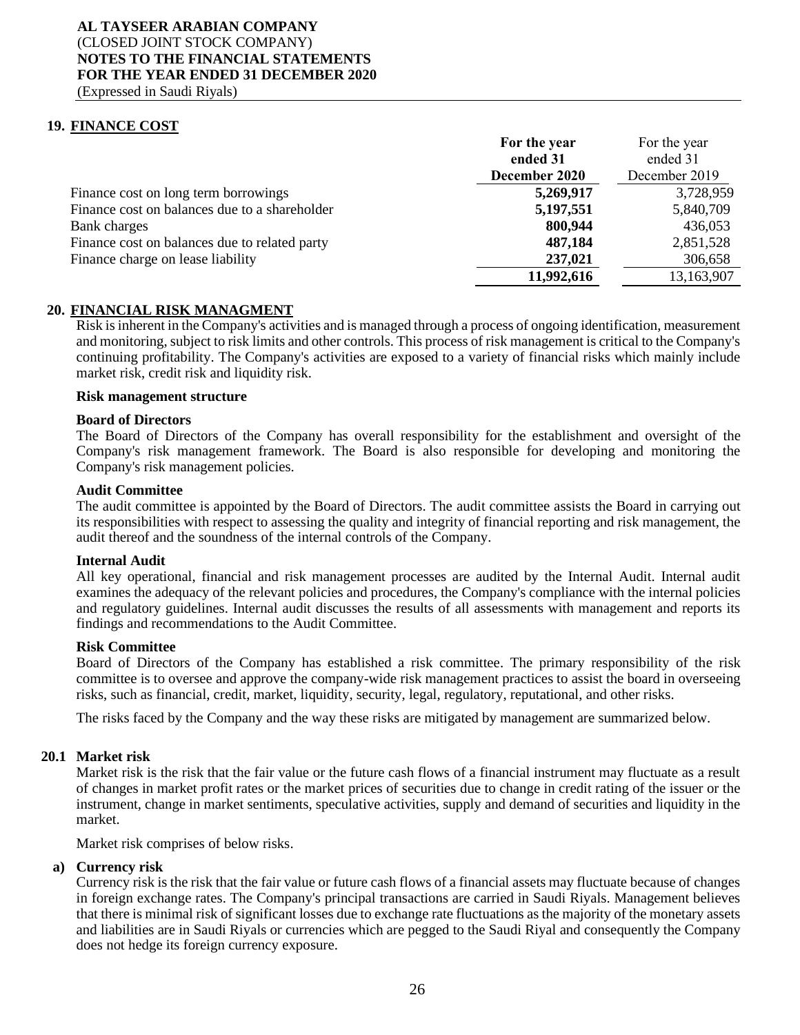**19. FINANCE COST**

|                                               | For the year  | For the year  |
|-----------------------------------------------|---------------|---------------|
|                                               | ended 31      | ended 31      |
|                                               | December 2020 | December 2019 |
| Finance cost on long term borrowings          | 5,269,917     | 3,728,959     |
| Finance cost on balances due to a shareholder | 5,197,551     | 5,840,709     |
| Bank charges                                  | 800,944       | 436,053       |
| Finance cost on balances due to related party | 487,184       | 2,851,528     |
| Finance charge on lease liability             | 237,021       | 306,658       |
|                                               | 11,992,616    | 13,163,907    |

## **20. FINANCIAL RISK MANAGMENT**

Risk is inherent in the Company's activities and is managed through a process of ongoing identification, measurement and monitoring, subject to risk limits and other controls. This process of risk management is critical to the Company's continuing profitability. The Company's activities are exposed to a variety of financial risks which mainly include market risk, credit risk and liquidity risk.

#### **Risk management structure**

#### **Board of Directors**

The Board of Directors of the Company has overall responsibility for the establishment and oversight of the Company's risk management framework. The Board is also responsible for developing and monitoring the Company's risk management policies.

#### **Audit Committee**

The audit committee is appointed by the Board of Directors. The audit committee assists the Board in carrying out its responsibilities with respect to assessing the quality and integrity of financial reporting and risk management, the audit thereof and the soundness of the internal controls of the Company.

#### **Internal Audit**

All key operational, financial and risk management processes are audited by the Internal Audit. Internal audit examines the adequacy of the relevant policies and procedures, the Company's compliance with the internal policies and regulatory guidelines. Internal audit discusses the results of all assessments with management and reports its findings and recommendations to the Audit Committee.

#### **Risk Committee**

Board of Directors of the Company has established a risk committee. The primary responsibility of the risk committee is to oversee and approve the company-wide risk management practices to assist the board in overseeing risks, such as financial, credit, market, liquidity, security, legal, regulatory, reputational, and other risks.

The risks faced by the Company and the way these risks are mitigated by management are summarized below.

#### **20.1 Market risk**

Market risk is the risk that the fair value or the future cash flows of a financial instrument may fluctuate as a result of changes in market profit rates or the market prices of securities due to change in credit rating of the issuer or the instrument, change in market sentiments, speculative activities, supply and demand of securities and liquidity in the market.

Market risk comprises of below risks.

#### **a) Currency risk**

Currency risk is the risk that the fair value or future cash flows of a financial assets may fluctuate because of changes in foreign exchange rates. The Company's principal transactions are carried in Saudi Riyals. Management believes that there is minimal risk of significant losses due to exchange rate fluctuations as the majority of the monetary assets and liabilities are in Saudi Riyals or currencies which are pegged to the Saudi Riyal and consequently the Company does not hedge its foreign currency exposure.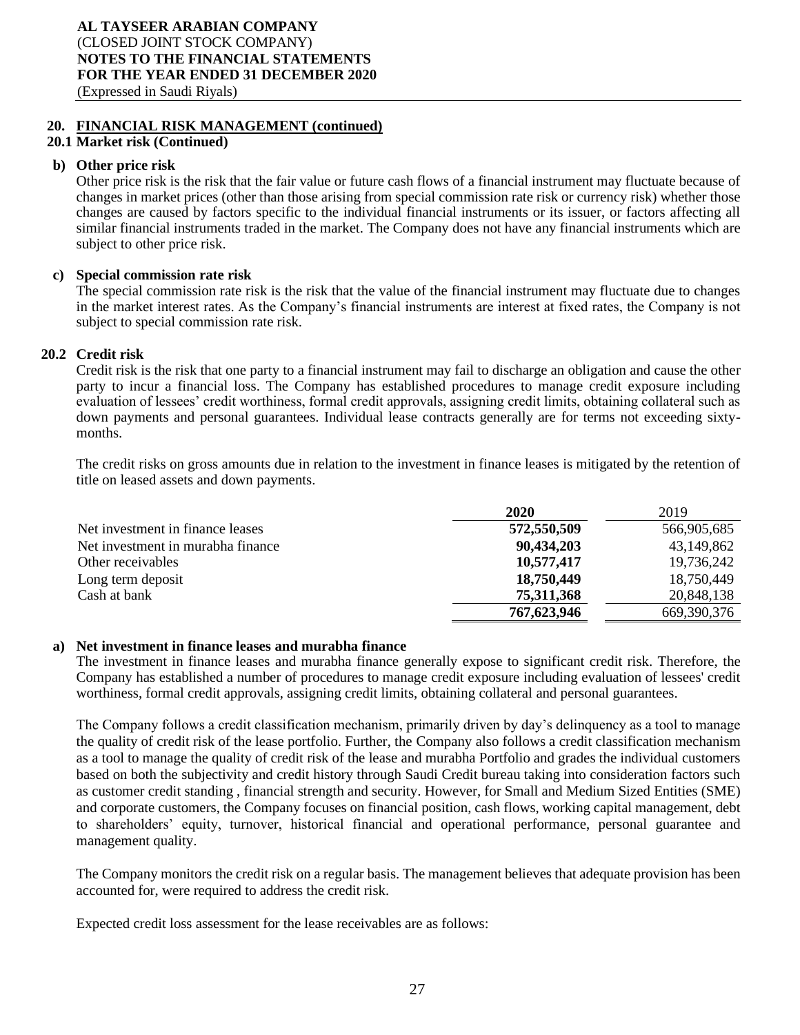## **20. FINANCIAL RISK MANAGEMENT (continued)**

## **20.1 Market risk (Continued)**

#### **b) Other price risk**

Other price risk is the risk that the fair value or future cash flows of a financial instrument may fluctuate because of changes in market prices (other than those arising from special commission rate risk or currency risk) whether those changes are caused by factors specific to the individual financial instruments or its issuer, or factors affecting all similar financial instruments traded in the market. The Company does not have any financial instruments which are subject to other price risk.

#### **c) Special commission rate risk**

The special commission rate risk is the risk that the value of the financial instrument may fluctuate due to changes in the market interest rates. As the Company's financial instruments are interest at fixed rates, the Company is not subject to special commission rate risk.

#### **20.2 Credit risk**

Credit risk is the risk that one party to a financial instrument may fail to discharge an obligation and cause the other party to incur a financial loss. The Company has established procedures to manage credit exposure including evaluation of lessees' credit worthiness, formal credit approvals, assigning credit limits, obtaining collateral such as down payments and personal guarantees. Individual lease contracts generally are for terms not exceeding sixtymonths.

The credit risks on gross amounts due in relation to the investment in finance leases is mitigated by the retention of title on leased assets and down payments.

|                                   | 2020        | 2019          |
|-----------------------------------|-------------|---------------|
| Net investment in finance leases  | 572,550,509 | 566,905,685   |
| Net investment in murabha finance | 90,434,203  | 43,149,862    |
| Other receivables                 | 10,577,417  | 19,736,242    |
| Long term deposit                 | 18,750,449  | 18,750,449    |
| Cash at bank                      | 75,311,368  | 20,848,138    |
|                                   | 767,623,946 | 669, 390, 376 |

#### **a) Net investment in finance leases and murabha finance**

The investment in finance leases and murabha finance generally expose to significant credit risk. Therefore, the Company has established a number of procedures to manage credit exposure including evaluation of lessees' credit worthiness, formal credit approvals, assigning credit limits, obtaining collateral and personal guarantees.

The Company follows a credit classification mechanism, primarily driven by day's delinquency as a tool to manage the quality of credit risk of the lease portfolio. Further, the Company also follows a credit classification mechanism as a tool to manage the quality of credit risk of the lease and murabha Portfolio and grades the individual customers based on both the subjectivity and credit history through Saudi Credit bureau taking into consideration factors such as customer credit standing , financial strength and security. However, for Small and Medium Sized Entities (SME) and corporate customers, the Company focuses on financial position, cash flows, working capital management, debt to shareholders' equity, turnover, historical financial and operational performance, personal guarantee and management quality.

The Company monitors the credit risk on a regular basis. The management believes that adequate provision has been accounted for, were required to address the credit risk.

Expected credit loss assessment for the lease receivables are as follows: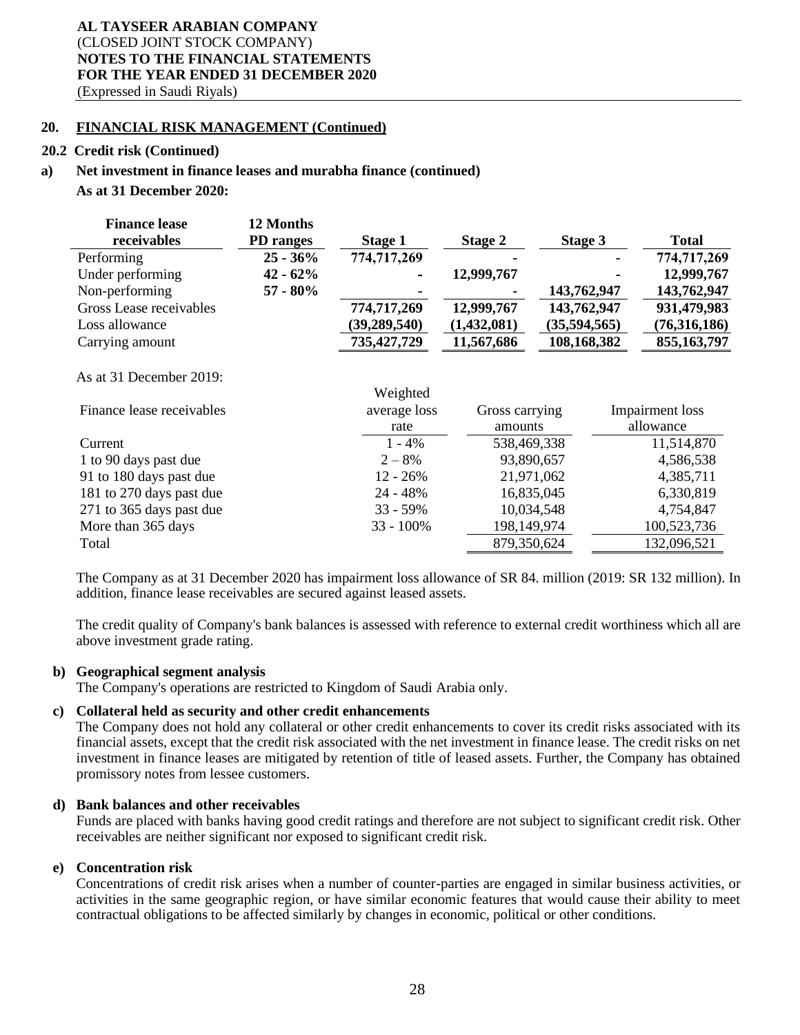#### **20. FINANCIAL RISK MANAGEMENT (Continued)**

#### **20.2 Credit risk (Continued)**

#### **a) Net investment in finance leases and murabha finance (continued)**

#### **As at 31 December 2020:**

| <b>Finance lease</b>    | 12 Months        |                |             |              |              |
|-------------------------|------------------|----------------|-------------|--------------|--------------|
| receivables             | <b>PD</b> ranges | Stage 1        | Stage 2     | Stage 3      | <b>Total</b> |
| Performing              | $25 - 36\%$      | 774,717,269    |             |              | 774,717,269  |
| Under performing        | $42 - 62%$       | ۰              | 12,999,767  |              | 12,999,767   |
| Non-performing          | $57 - 80\%$      |                |             | 143,762,947  | 143,762,947  |
| Gross Lease receivables |                  | 774,717,269    | 12,999,767  | 143,762,947  | 931,479,983  |
| Loss allowance          |                  | (39, 289, 540) | (1,432,081) | (35,594,565) | (76,316,186) |
| Carrying amount         |                  | 735,427,729    | 11,567,686  | 108,168,382  | 855,163,797  |

#### As at 31 December 2019:

|                           | Weighted     |                |                 |
|---------------------------|--------------|----------------|-----------------|
| Finance lease receivables | average loss | Gross carrying | Impairment loss |
|                           | rate         | amounts        | allowance       |
| Current                   | $1 - 4\%$    | 538,469,338    | 11,514,870      |
| 1 to 90 days past due     | $2 - 8%$     | 93,890,657     | 4,586,538       |
| 91 to 180 days past due   | $12 - 26\%$  | 21,971,062     | 4,385,711       |
| 181 to 270 days past due  | $24 - 48%$   | 16,835,045     | 6,330,819       |
| 271 to 365 days past due  | $33 - 59\%$  | 10,034,548     | 4,754,847       |
| More than 365 days        | $33 - 100\%$ | 198,149,974    | 100,523,736     |
| Total                     |              | 879,350,624    | 132,096,521     |
|                           |              |                |                 |

Weighted and the contract of the contract of the contract of the contract of the contract of the contract of the contract of the contract of the contract of the contract of the contract of the contract of the contract of t

The Company as at 31 December 2020 has impairment loss allowance of SR 84. million (2019: SR 132 million). In addition, finance lease receivables are secured against leased assets.

The credit quality of Company's bank balances is assessed with reference to external credit worthiness which all are above investment grade rating.

## **b) Geographical segment analysis**

The Company's operations are restricted to Kingdom of Saudi Arabia only.

## **c) Collateral held as security and other credit enhancements**

The Company does not hold any collateral or other credit enhancements to cover its credit risks associated with its financial assets, except that the credit risk associated with the net investment in finance lease. The credit risks on net investment in finance leases are mitigated by retention of title of leased assets. Further, the Company has obtained promissory notes from lessee customers.

## **d) Bank balances and other receivables**

Funds are placed with banks having good credit ratings and therefore are not subject to significant credit risk. Other receivables are neither significant nor exposed to significant credit risk.

#### **e) Concentration risk**

Concentrations of credit risk arises when a number of counter-parties are engaged in similar business activities, or activities in the same geographic region, or have similar economic features that would cause their ability to meet contractual obligations to be affected similarly by changes in economic, political or other conditions.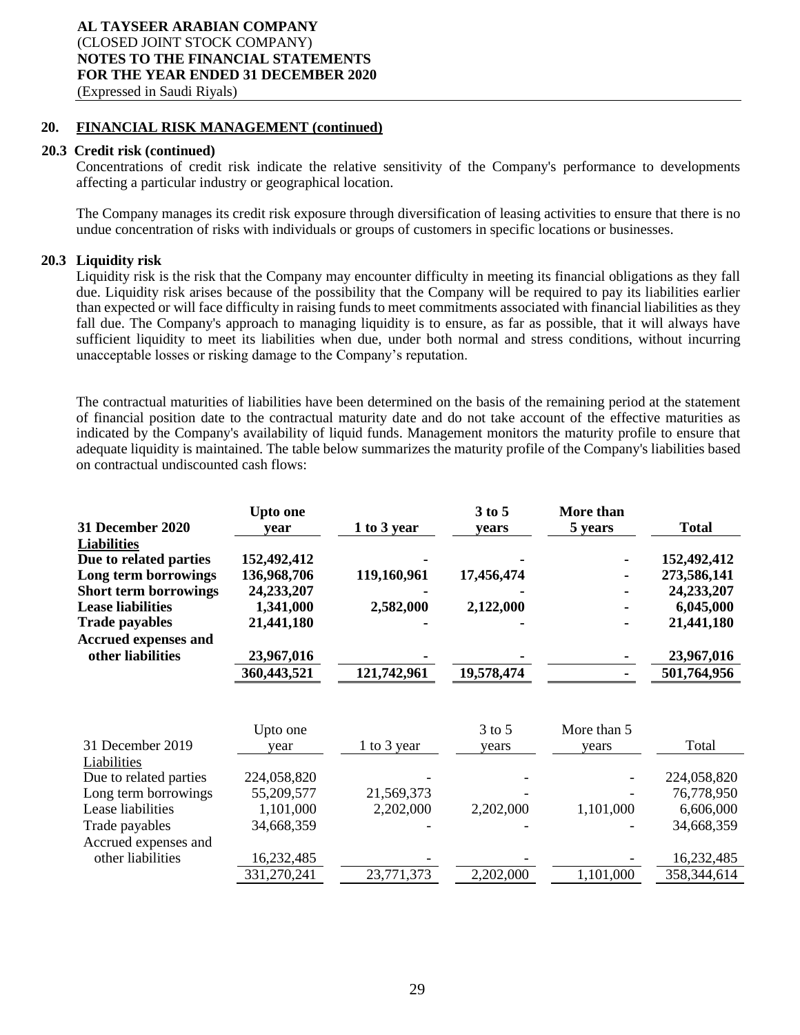#### **20. FINANCIAL RISK MANAGEMENT (continued)**

#### **20.3 Credit risk (continued)**

Concentrations of credit risk indicate the relative sensitivity of the Company's performance to developments affecting a particular industry or geographical location.

The Company manages its credit risk exposure through diversification of leasing activities to ensure that there is no undue concentration of risks with individuals or groups of customers in specific locations or businesses.

## **20.3 Liquidity risk**

Liquidity risk is the risk that the Company may encounter difficulty in meeting its financial obligations as they fall due. Liquidity risk arises because of the possibility that the Company will be required to pay its liabilities earlier than expected or will face difficulty in raising funds to meet commitments associated with financial liabilities as they fall due. The Company's approach to managing liquidity is to ensure, as far as possible, that it will always have sufficient liquidity to meet its liabilities when due, under both normal and stress conditions, without incurring unacceptable losses or risking damage to the Company's reputation.

The contractual maturities of liabilities have been determined on the basis of the remaining period at the statement of financial position date to the contractual maturity date and do not take account of the effective maturities as indicated by the Company's availability of liquid funds. Management monitors the maturity profile to ensure that adequate liquidity is maintained. The table below summarizes the maturity profile of the Company's liabilities based on contractual undiscounted cash flows:

|                              | Upto one     |             | 3 to 5     | More than |              |
|------------------------------|--------------|-------------|------------|-----------|--------------|
| 31 December 2020             | vear         | 1 to 3 year | vears      | 5 years   | <b>Total</b> |
| <b>Liabilities</b>           |              |             |            |           |              |
| Due to related parties       | 152,492,412  |             |            |           | 152,492,412  |
| Long term borrowings         | 136,968,706  | 119,160,961 | 17,456,474 |           | 273,586,141  |
| <b>Short term borrowings</b> | 24, 233, 207 |             |            |           | 24,233,207   |
| <b>Lease liabilities</b>     | 1,341,000    | 2,582,000   | 2,122,000  |           | 6,045,000    |
| <b>Trade payables</b>        | 21,441,180   |             |            |           | 21,441,180   |
| <b>Accrued expenses and</b>  |              |             |            |           |              |
| other liabilities            | 23,967,016   |             |            |           | 23,967,016   |
|                              | 360,443,521  | 121,742,961 | 19,578,474 |           | 501,764,956  |
|                              |              |             |            |           |              |

|                        | Upto one    |             | $3$ to 5  | More than 5 |             |
|------------------------|-------------|-------------|-----------|-------------|-------------|
| 31 December 2019       | year        | 1 to 3 year | years     | vears       | Total       |
| Liabilities            |             |             |           |             |             |
| Due to related parties | 224,058,820 |             |           |             | 224,058,820 |
| Long term borrowings   | 55,209,577  | 21,569,373  |           |             | 76,778,950  |
| Lease liabilities      | 1,101,000   | 2,202,000   | 2,202,000 | 1,101,000   | 6,606,000   |
| Trade payables         | 34,668,359  |             |           |             | 34,668,359  |
| Accrued expenses and   |             |             |           |             |             |
| other liabilities      | 16,232,485  |             |           |             | 16,232,485  |
|                        | 331,270,241 | 23,771,373  | 2,202,000 | 1,101,000   | 358,344,614 |
|                        |             |             |           |             |             |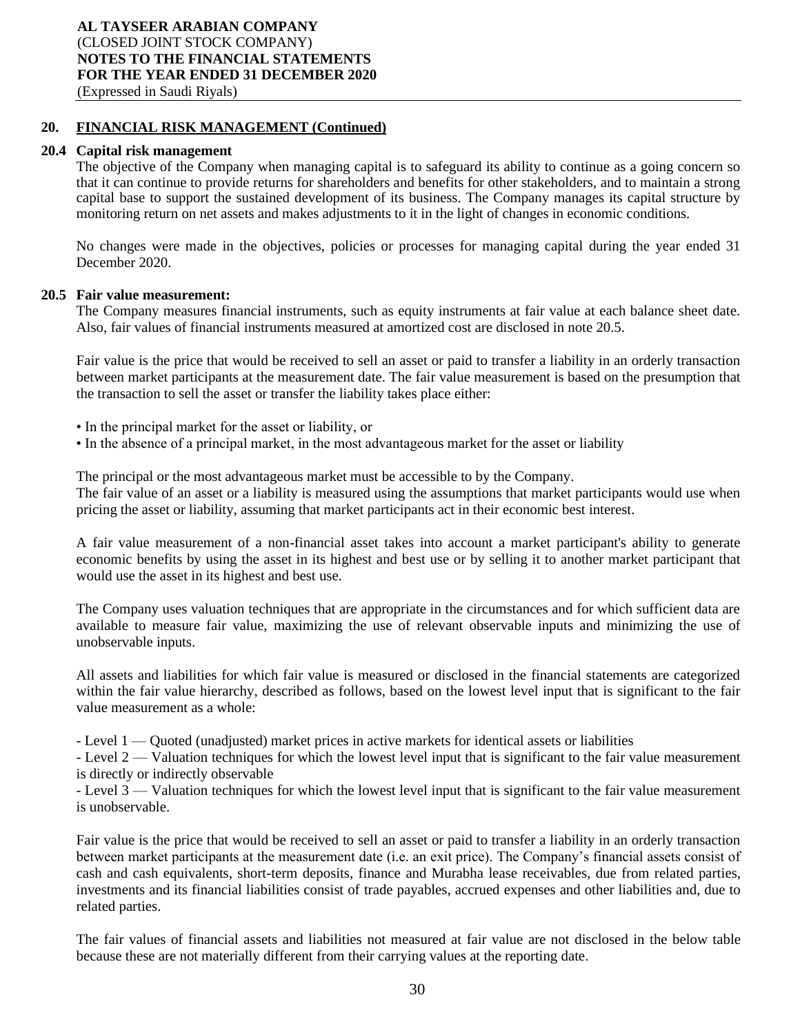## **20. FINANCIAL RISK MANAGEMENT (Continued)**

## **20.4 Capital risk management**

The objective of the Company when managing capital is to safeguard its ability to continue as a going concern so that it can continue to provide returns for shareholders and benefits for other stakeholders, and to maintain a strong capital base to support the sustained development of its business. The Company manages its capital structure by monitoring return on net assets and makes adjustments to it in the light of changes in economic conditions.

No changes were made in the objectives, policies or processes for managing capital during the year ended 31 December 2020.

## **20.5 Fair value measurement:**

The Company measures financial instruments, such as equity instruments at fair value at each balance sheet date. Also, fair values of financial instruments measured at amortized cost are disclosed in note 20.5.

Fair value is the price that would be received to sell an asset or paid to transfer a liability in an orderly transaction between market participants at the measurement date. The fair value measurement is based on the presumption that the transaction to sell the asset or transfer the liability takes place either:

- In the principal market for the asset or liability, or
- In the absence of a principal market, in the most advantageous market for the asset or liability

The principal or the most advantageous market must be accessible to by the Company.

The fair value of an asset or a liability is measured using the assumptions that market participants would use when pricing the asset or liability, assuming that market participants act in their economic best interest.

A fair value measurement of a non-financial asset takes into account a market participant's ability to generate economic benefits by using the asset in its highest and best use or by selling it to another market participant that would use the asset in its highest and best use.

The Company uses valuation techniques that are appropriate in the circumstances and for which sufficient data are available to measure fair value, maximizing the use of relevant observable inputs and minimizing the use of unobservable inputs.

All assets and liabilities for which fair value is measured or disclosed in the financial statements are categorized within the fair value hierarchy, described as follows, based on the lowest level input that is significant to the fair value measurement as a whole:

- Level 1 — Quoted (unadjusted) market prices in active markets for identical assets or liabilities

- Level 2 — Valuation techniques for which the lowest level input that is significant to the fair value measurement is directly or indirectly observable

- Level 3 — Valuation techniques for which the lowest level input that is significant to the fair value measurement is unobservable.

Fair value is the price that would be received to sell an asset or paid to transfer a liability in an orderly transaction between market participants at the measurement date (i.e. an exit price). The Company's financial assets consist of cash and cash equivalents, short-term deposits, finance and Murabha lease receivables, due from related parties, investments and its financial liabilities consist of trade payables, accrued expenses and other liabilities and, due to related parties.

The fair values of financial assets and liabilities not measured at fair value are not disclosed in the below table because these are not materially different from their carrying values at the reporting date.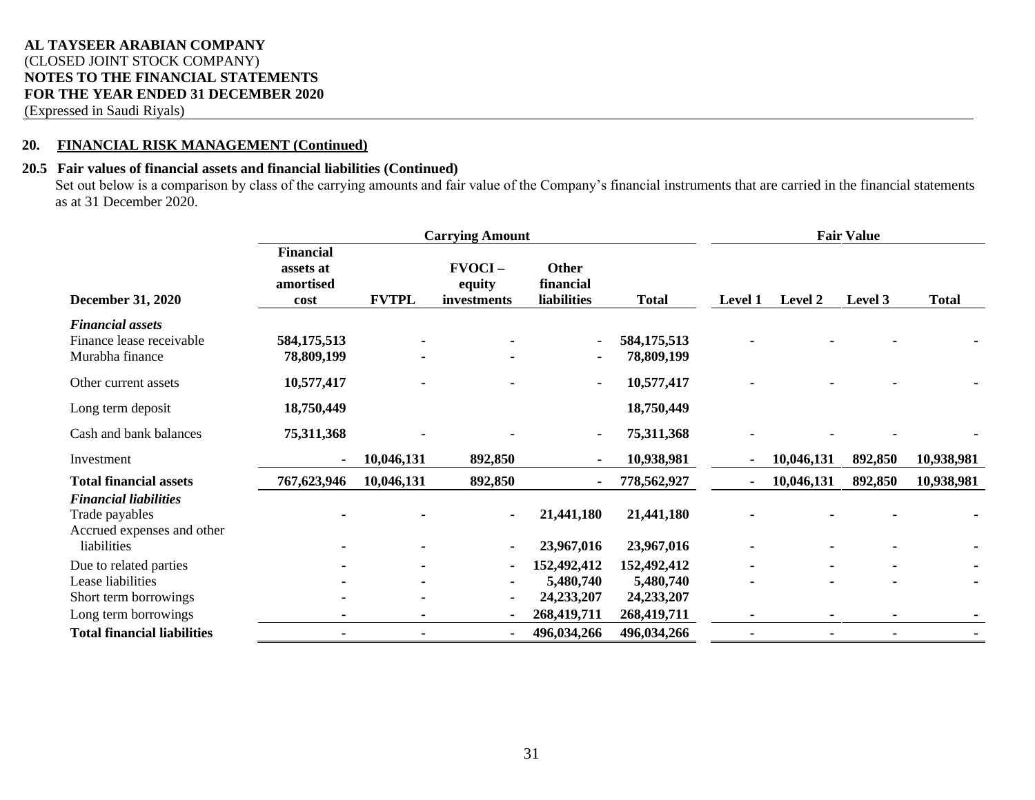(Expressed in Saudi Riyals)

## **20. FINANCIAL RISK MANAGEMENT (Continued)**

## **20.5 Fair values of financial assets and financial liabilities (Continued)**

Set out below is a comparison by class of the carrying amounts and fair value of the Company's financial instruments that are carried in the financial statements as at 31 December 2020.

|                                                                              | <b>Carrying Amount</b>                             |              |                                    |                                                 |                             | <b>Fair Value</b> |            |                |              |
|------------------------------------------------------------------------------|----------------------------------------------------|--------------|------------------------------------|-------------------------------------------------|-----------------------------|-------------------|------------|----------------|--------------|
| <b>December 31, 2020</b>                                                     | <b>Financial</b><br>assets at<br>amortised<br>cost | <b>FVTPL</b> | $FVOCI -$<br>equity<br>investments | <b>Other</b><br>financial<br><b>liabilities</b> | <b>Total</b>                | <b>Level 1</b>    | Level 2    | Level 3        | <b>Total</b> |
| <b>Financial assets</b><br>Finance lease receivable<br>Murabha finance       | 584,175,513<br>78,809,199                          |              |                                    | $\overline{\phantom{a}}$<br>$\blacksquare$      | 584,175,513<br>78,809,199   |                   |            |                |              |
| Other current assets                                                         | 10,577,417                                         |              |                                    | $\blacksquare$                                  | 10,577,417                  |                   |            |                |              |
| Long term deposit                                                            | 18,750,449                                         |              |                                    |                                                 | 18,750,449                  |                   |            |                |              |
| Cash and bank balances                                                       | 75,311,368                                         |              |                                    | $\blacksquare$                                  | 75,311,368                  |                   |            |                |              |
| Investment                                                                   |                                                    | 10,046,131   | 892,850                            |                                                 | 10,938,981                  |                   | 10,046,131 | 892,850        | 10,938,981   |
| <b>Total financial assets</b>                                                | 767,623,946                                        | 10,046,131   | 892,850                            |                                                 | 778,562,927                 |                   | 10,046,131 | 892,850        | 10,938,981   |
| <b>Financial liabilities</b><br>Trade payables<br>Accrued expenses and other |                                                    |              | $\blacksquare$                     | 21,441,180                                      | 21,441,180                  |                   |            |                |              |
| liabilities                                                                  |                                                    |              | $\blacksquare$                     | 23,967,016                                      | 23,967,016                  |                   |            | $\blacksquare$ |              |
| Due to related parties                                                       |                                                    |              | $\blacksquare$                     | 152,492,412                                     | 152,492,412                 |                   |            | ۰              |              |
| Lease liabilities                                                            |                                                    |              | $\blacksquare$                     | 5,480,740                                       | 5,480,740                   |                   |            |                |              |
| Short term borrowings<br>Long term borrowings                                |                                                    |              | $\blacksquare$                     | 24,233,207<br>268,419,711                       | 24, 233, 207<br>268,419,711 |                   |            |                |              |
| <b>Total financial liabilities</b>                                           |                                                    |              | $\blacksquare$                     | 496,034,266                                     | 496,034,266                 |                   |            |                |              |
|                                                                              |                                                    |              |                                    |                                                 |                             |                   |            |                |              |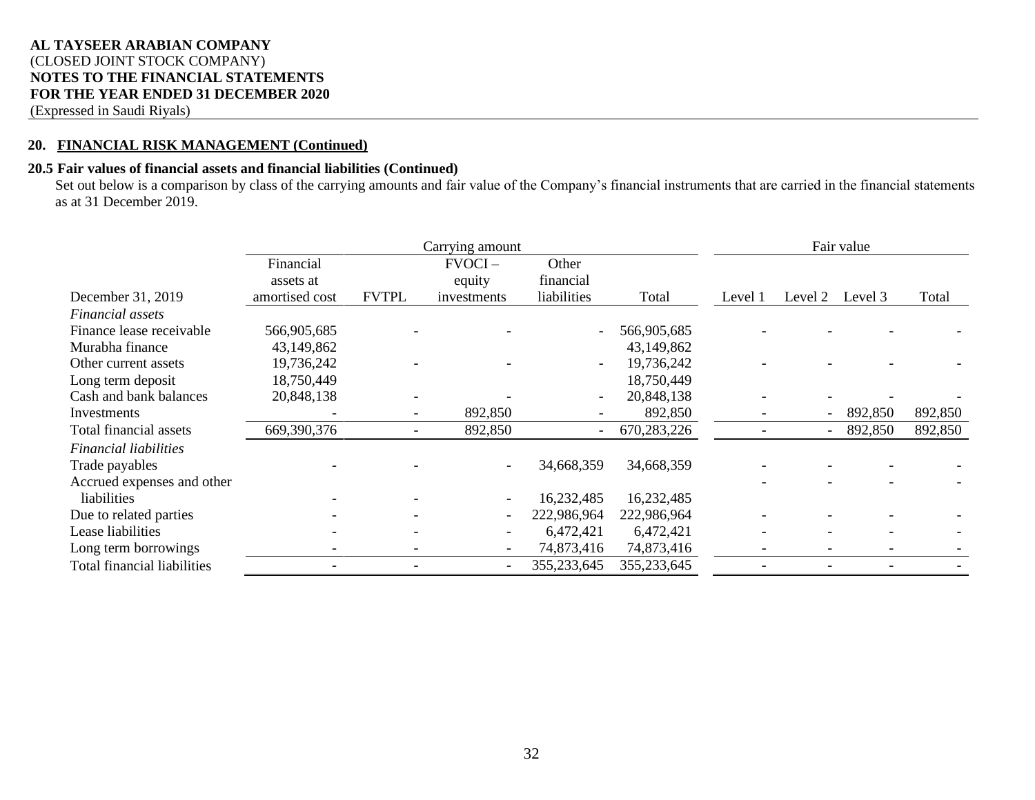## **AL TAYSEER ARABIAN COMPANY** (CLOSED JOINT STOCK COMPANY) **NOTES TO THE FINANCIAL STATEMENTS FOR THE YEAR ENDED 31 DECEMBER 2020**

(Expressed in Saudi Riyals)

## **20. FINANCIAL RISK MANAGEMENT (Continued)**

## **20.5 Fair values of financial assets and financial liabilities (Continued)**

Set out below is a comparison by class of the carrying amounts and fair value of the Company's financial instruments that are carried in the financial statements as at 31 December 2019.

|                              |                |              | Carrying amount |                          |             |         |         | Fair value |         |
|------------------------------|----------------|--------------|-----------------|--------------------------|-------------|---------|---------|------------|---------|
|                              | Financial      |              | $FVOCI -$       | Other                    |             |         |         |            |         |
|                              | assets at      |              | equity          | financial                |             |         |         |            |         |
| December 31, 2019            | amortised cost | <b>FVTPL</b> | investments     | liabilities              | Total       | Level 1 | Level 2 | Level 3    | Total   |
| <i>Financial assets</i>      |                |              |                 |                          |             |         |         |            |         |
| Finance lease receivable     | 566,905,685    |              |                 | $\overline{\phantom{a}}$ | 566,905,685 |         |         |            |         |
| Murabha finance              | 43,149,862     |              |                 |                          | 43,149,862  |         |         |            |         |
| Other current assets         | 19,736,242     |              |                 | $\overline{\phantom{a}}$ | 19,736,242  |         |         |            |         |
| Long term deposit            | 18,750,449     |              |                 |                          | 18,750,449  |         |         |            |         |
| Cash and bank balances       | 20,848,138     |              |                 | $\overline{\phantom{a}}$ | 20,848,138  |         |         |            |         |
| Investments                  |                |              | 892,850         |                          | 892,850     |         |         | 892,850    | 892,850 |
| Total financial assets       | 669,390,376    |              | 892,850         | $\blacksquare$           | 670,283,226 |         |         | 892,850    | 892,850 |
| <b>Financial liabilities</b> |                |              |                 |                          |             |         |         |            |         |
| Trade payables               |                |              |                 | 34,668,359               | 34,668,359  |         |         |            |         |
| Accrued expenses and other   |                |              |                 |                          |             |         |         |            |         |
| liabilities                  |                |              |                 | 16,232,485               | 16,232,485  |         |         |            |         |
| Due to related parties       |                |              |                 | 222,986,964              | 222,986,964 |         |         |            |         |
| Lease liabilities            |                |              |                 | 6,472,421                | 6,472,421   |         |         |            |         |
| Long term borrowings         |                |              |                 | 74,873,416               | 74,873,416  |         |         |            |         |
| Total financial liabilities  |                |              |                 | 355,233,645              | 355,233,645 |         |         |            |         |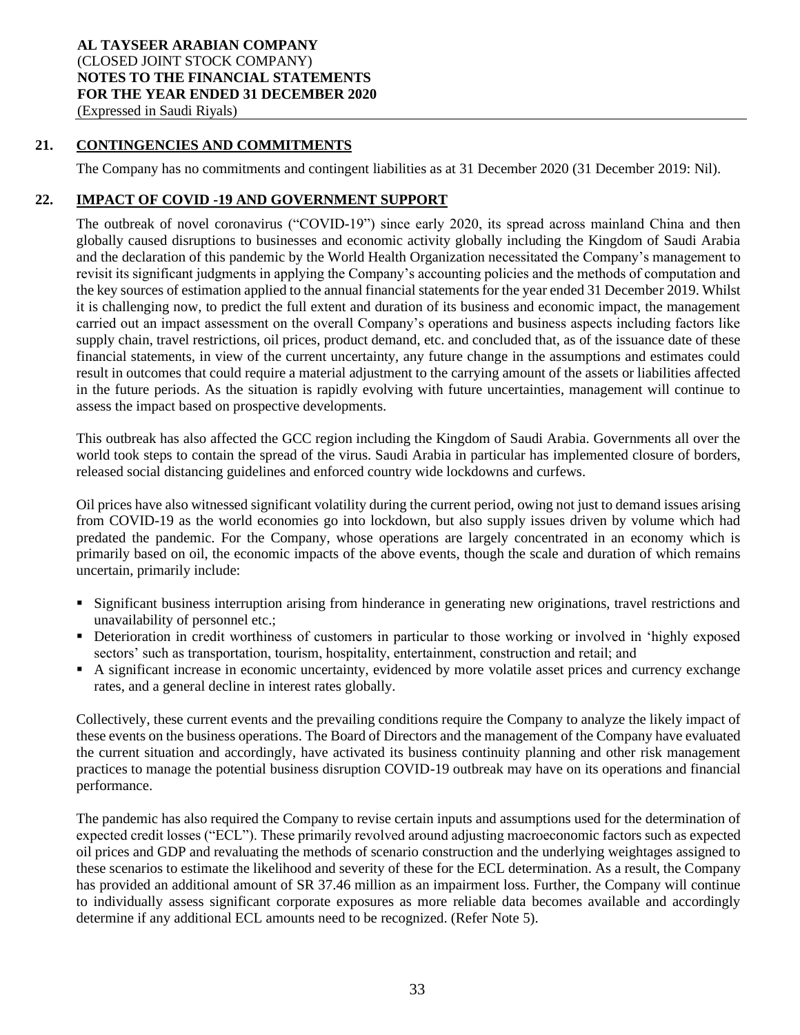## **21. CONTINGENCIES AND COMMITMENTS**

The Company has no commitments and contingent liabilities as at 31 December 2020 (31 December 2019: Nil).

## **22. IMPACT OF COVID -19 AND GOVERNMENT SUPPORT**

The outbreak of novel coronavirus ("COVID-19") since early 2020, its spread across mainland China and then globally caused disruptions to businesses and economic activity globally including the Kingdom of Saudi Arabia and the declaration of this pandemic by the World Health Organization necessitated the Company's management to revisit its significant judgments in applying the Company's accounting policies and the methods of computation and the key sources of estimation applied to the annual financial statements for the year ended 31 December 2019. Whilst it is challenging now, to predict the full extent and duration of its business and economic impact, the management carried out an impact assessment on the overall Company's operations and business aspects including factors like supply chain, travel restrictions, oil prices, product demand, etc. and concluded that, as of the issuance date of these financial statements, in view of the current uncertainty, any future change in the assumptions and estimates could result in outcomes that could require a material adjustment to the carrying amount of the assets or liabilities affected in the future periods. As the situation is rapidly evolving with future uncertainties, management will continue to assess the impact based on prospective developments.

This outbreak has also affected the GCC region including the Kingdom of Saudi Arabia. Governments all over the world took steps to contain the spread of the virus. Saudi Arabia in particular has implemented closure of borders, released social distancing guidelines and enforced country wide lockdowns and curfews.

Oil prices have also witnessed significant volatility during the current period, owing not just to demand issues arising from COVID-19 as the world economies go into lockdown, but also supply issues driven by volume which had predated the pandemic. For the Company, whose operations are largely concentrated in an economy which is primarily based on oil, the economic impacts of the above events, though the scale and duration of which remains uncertain, primarily include:

- Significant business interruption arising from hinderance in generating new originations, travel restrictions and unavailability of personnel etc.;
- Deterioration in credit worthiness of customers in particular to those working or involved in 'highly exposed sectors' such as transportation, tourism, hospitality, entertainment, construction and retail; and
- A significant increase in economic uncertainty, evidenced by more volatile asset prices and currency exchange rates, and a general decline in interest rates globally.

Collectively, these current events and the prevailing conditions require the Company to analyze the likely impact of these events on the business operations. The Board of Directors and the management of the Company have evaluated the current situation and accordingly, have activated its business continuity planning and other risk management practices to manage the potential business disruption COVID-19 outbreak may have on its operations and financial performance.

The pandemic has also required the Company to revise certain inputs and assumptions used for the determination of expected credit losses ("ECL"). These primarily revolved around adjusting macroeconomic factors such as expected oil prices and GDP and revaluating the methods of scenario construction and the underlying weightages assigned to these scenarios to estimate the likelihood and severity of these for the ECL determination. As a result, the Company has provided an additional amount of SR 37.46 million as an impairment loss. Further, the Company will continue to individually assess significant corporate exposures as more reliable data becomes available and accordingly determine if any additional ECL amounts need to be recognized. (Refer Note 5).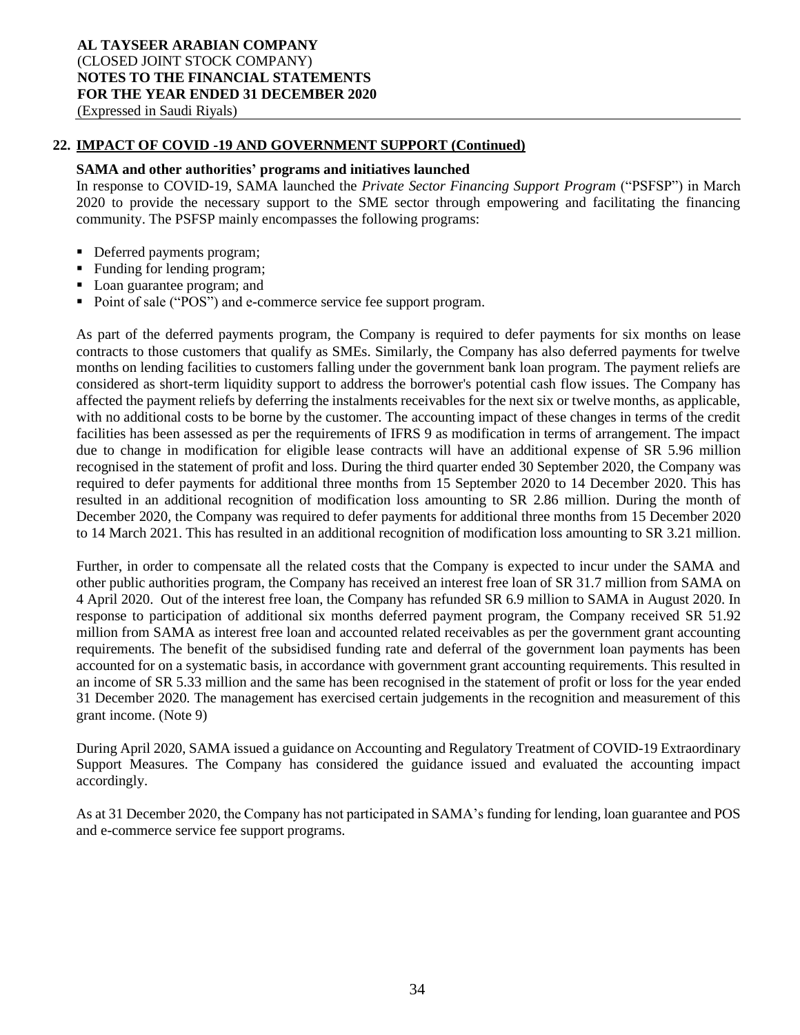## **22. IMPACT OF COVID -19 AND GOVERNMENT SUPPORT (Continued)**

#### **SAMA and other authorities' programs and initiatives launched**

In response to COVID-19, SAMA launched the *Private Sector Financing Support Program* ("PSFSP") in March 2020 to provide the necessary support to the SME sector through empowering and facilitating the financing community. The PSFSP mainly encompasses the following programs:

- Deferred payments program;
- Funding for lending program;
- Loan guarantee program; and
- Point of sale ("POS") and e-commerce service fee support program.

As part of the deferred payments program, the Company is required to defer payments for six months on lease contracts to those customers that qualify as SMEs. Similarly, the Company has also deferred payments for twelve months on lending facilities to customers falling under the government bank loan program. The payment reliefs are considered as short-term liquidity support to address the borrower's potential cash flow issues. The Company has affected the payment reliefs by deferring the instalments receivables for the next six or twelve months, as applicable, with no additional costs to be borne by the customer. The accounting impact of these changes in terms of the credit facilities has been assessed as per the requirements of IFRS 9 as modification in terms of arrangement. The impact due to change in modification for eligible lease contracts will have an additional expense of SR 5.96 million recognised in the statement of profit and loss. During the third quarter ended 30 September 2020, the Company was required to defer payments for additional three months from 15 September 2020 to 14 December 2020. This has resulted in an additional recognition of modification loss amounting to SR 2.86 million. During the month of December 2020, the Company was required to defer payments for additional three months from 15 December 2020 to 14 March 2021. This has resulted in an additional recognition of modification loss amounting to SR 3.21 million.

Further, in order to compensate all the related costs that the Company is expected to incur under the SAMA and other public authorities program, the Company has received an interest free loan of SR 31.7 million from SAMA on 4 April 2020. Out of the interest free loan, the Company has refunded SR 6.9 million to SAMA in August 2020. In response to participation of additional six months deferred payment program, the Company received SR 51.92 million from SAMA as interest free loan and accounted related receivables as per the government grant accounting requirements. The benefit of the subsidised funding rate and deferral of the government loan payments has been accounted for on a systematic basis, in accordance with government grant accounting requirements. This resulted in an income of SR 5.33 million and the same has been recognised in the statement of profit or loss for the year ended 31 December 2020. The management has exercised certain judgements in the recognition and measurement of this grant income. (Note 9)

During April 2020, SAMA issued a guidance on Accounting and Regulatory Treatment of COVID-19 Extraordinary Support Measures. The Company has considered the guidance issued and evaluated the accounting impact accordingly.

As at 31 December 2020, the Company has not participated in SAMA's funding for lending, loan guarantee and POS and e-commerce service fee support programs.